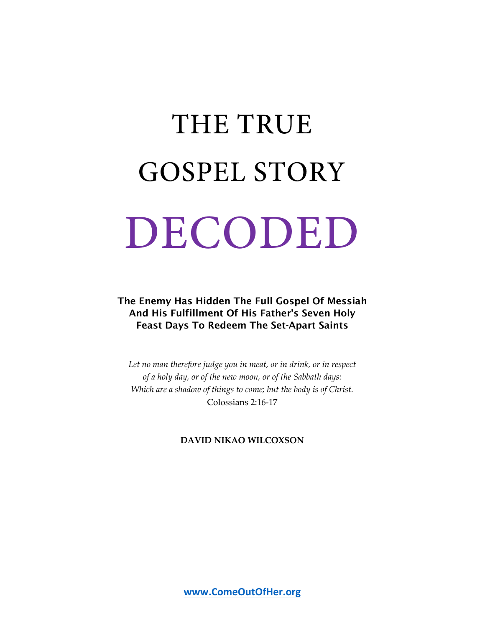# THE TRUE GOSPEL STORY DECODED

The Enemy Has Hidden The Full Gospel Of Messiah And His Fulfillment Of His Father's Seven Holy Feast Days To Redeem The Set-Apart Saints

*Let no man therefore judge you in meat, or in drink, or in respect of a holy day, or of the new moon, or of the Sabbath days: Which are a shadow of things to come; but the body is of Christ.* Colossians 2:16-17

**DAVID NIKAO WILCOXSON**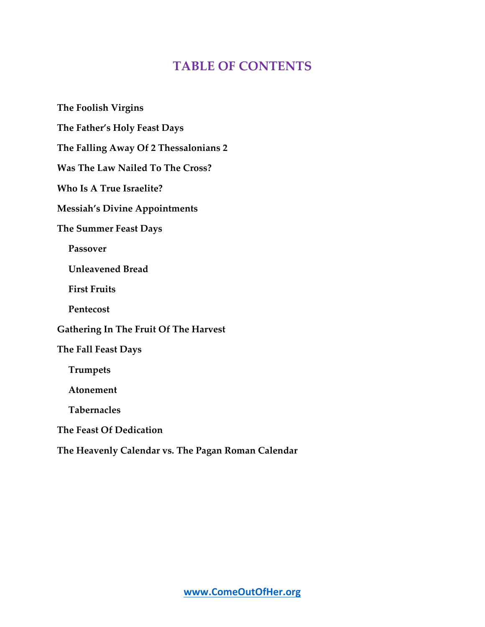# **TABLE OF CONTENTS**

**The Foolish Virgins The Father's Holy Feast Days The Falling Away Of 2 Thessalonians 2 Was The Law Nailed To The Cross? Who Is A True Israelite? Messiah's Divine Appointments The Summer Feast Days Passover Unleavened Bread First Fruits Pentecost Gathering In The Fruit Of The Harvest The Fall Feast Days Trumpets Atonement Tabernacles The Feast Of Dedication The Heavenly Calendar vs. The Pagan Roman Calendar**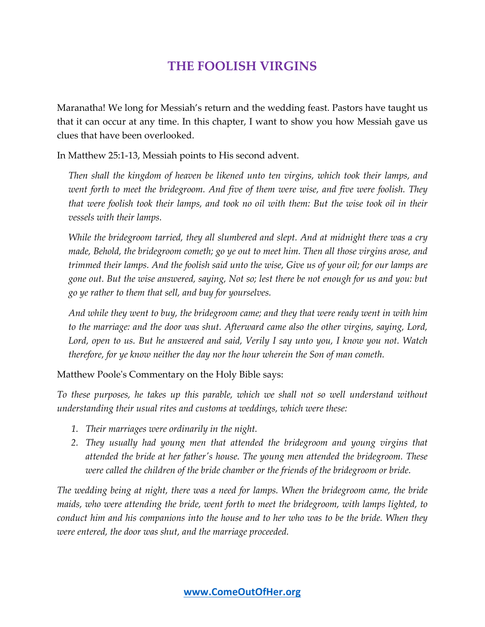## **THE FOOLISH VIRGINS**

Maranatha! We long for Messiah's return and the wedding feast. Pastors have taught us that it can occur at any time. In this chapter, I want to show you how Messiah gave us clues that have been overlooked.

In Matthew 25:1-13, Messiah points to His second advent.

*Then shall the kingdom of heaven be likened unto ten virgins, which took their lamps, and*  went forth to meet the bridegroom. And five of them were wise, and five were foolish. They *that were foolish took their lamps, and took no oil with them: But the wise took oil in their vessels with their lamps.*

*While the bridegroom tarried, they all slumbered and slept. And at midnight there was a cry made, Behold, the bridegroom cometh; go ye out to meet him. Then all those virgins arose, and trimmed their lamps. And the foolish said unto the wise, Give us of your oil; for our lamps are gone out. But the wise answered, saying, Not so; lest there be not enough for us and you: but go ye rather to them that sell, and buy for yourselves.*

*And while they went to buy, the bridegroom came; and they that were ready went in with him to the marriage: and the door was shut. Afterward came also the other virgins, saying, Lord, Lord, open to us. But he answered and said, Verily I say unto you, I know you not. Watch therefore, for ye know neither the day nor the hour wherein the Son of man cometh.*

Matthew Poole's Commentary on the Holy Bible says:

*To these purposes, he takes up this parable, which we shall not so well understand without understanding their usual rites and customs at weddings, which were these:*

- *1. Their marriages were ordinarily in the night.*
- *2. They usually had young men that attended the bridegroom and young virgins that attended the bride at her father's house. The young men attended the bridegroom. These were called the children of the bride chamber or the friends of the bridegroom or bride.*

*The wedding being at night, there was a need for lamps. When the bridegroom came, the bride maids, who were attending the bride, went forth to meet the bridegroom, with lamps lighted, to conduct him and his companions into the house and to her who was to be the bride. When they were entered, the door was shut, and the marriage proceeded.*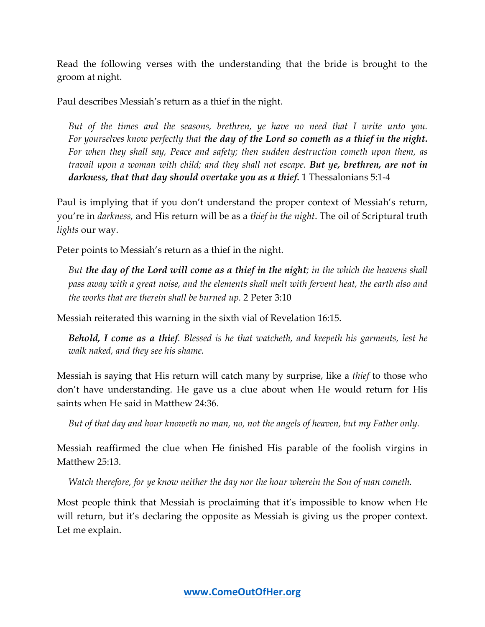Read the following verses with the understanding that the bride is brought to the groom at night.

Paul describes Messiah's return as a thief in the night.

*But of the times and the seasons, brethren, ye have no need that I write unto you. For yourselves know perfectly that the day of the Lord so cometh as a thief in the night. For when they shall say, Peace and safety; then sudden destruction cometh upon them, as travail upon a woman with child; and they shall not escape. But ye, brethren, are not in darkness, that that day should overtake you as a thief.* 1 Thessalonians 5:1-4

Paul is implying that if you don't understand the proper context of Messiah's return, you're in *darkness,* and His return will be as a *thief in the night*. The oil of Scriptural truth *lights* our way.

Peter points to Messiah's return as a thief in the night.

*But the day of the Lord will come as a thief in the night; in the which the heavens shall pass away with a great noise, and the elements shall melt with fervent heat, the earth also and the works that are therein shall be burned up.* 2 Peter 3:10

Messiah reiterated this warning in the sixth vial of Revelation 16:15.

*Behold, I come as a thief. Blessed is he that watcheth, and keepeth his garments, lest he walk naked, and they see his shame.*

Messiah is saying that His return will catch many by surprise, like a *thief* to those who don't have understanding. He gave us a clue about when He would return for His saints when He said in Matthew 24:36.

*But of that day and hour knoweth no man, no, not the angels of heaven, but my Father only.*

Messiah reaffirmed the clue when He finished His parable of the foolish virgins in Matthew 25:13.

*Watch therefore, for ye know neither the day nor the hour wherein the Son of man cometh.*

Most people think that Messiah is proclaiming that it's impossible to know when He will return, but it's declaring the opposite as Messiah is giving us the proper context. Let me explain.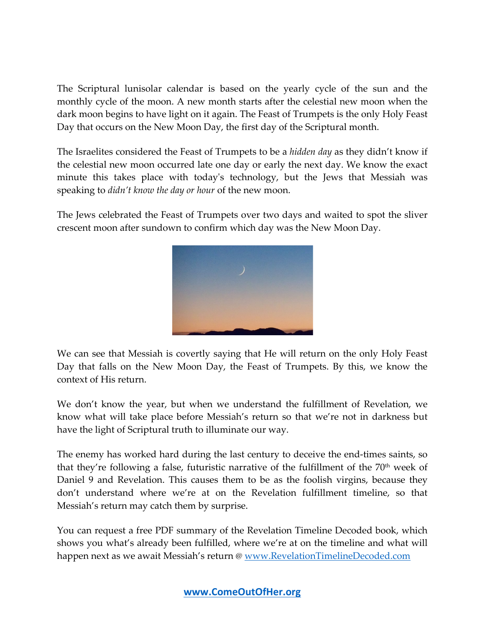The Scriptural lunisolar calendar is based on the yearly cycle of the sun and the monthly cycle of the moon. A new month starts after the celestial new moon when the dark moon begins to have light on it again. The Feast of Trumpets is the only Holy Feast Day that occurs on the New Moon Day, the first day of the Scriptural month.

The Israelites considered the Feast of Trumpets to be a *hidden day* as they didn't know if the celestial new moon occurred late one day or early the next day. We know the exact minute this takes place with today's technology, but the Jews that Messiah was speaking to *didn't know the day or hour* of the new moon.

The Jews celebrated the Feast of Trumpets over two days and waited to spot the sliver crescent moon after sundown to confirm which day was the New Moon Day.



We can see that Messiah is covertly saying that He will return on the only Holy Feast Day that falls on the New Moon Day, the Feast of Trumpets. By this, we know the context of His return.

We don't know the year, but when we understand the fulfillment of Revelation, we know what will take place before Messiah's return so that we're not in darkness but have the light of Scriptural truth to illuminate our way.

The enemy has worked hard during the last century to deceive the end-times saints, so that they're following a false, futuristic narrative of the fulfillment of the  $70<sup>th</sup>$  week of Daniel 9 and Revelation. This causes them to be as the foolish virgins, because they don't understand where we're at on the Revelation fulfillment timeline, so that Messiah's return may catch them by surprise.

You can request a free PDF summary of the Revelation Timeline Decoded book, which shows you what's already been fulfilled, where we're at on the timeline and what will happen next as we await Messiah's return @ www.RevelationTimelineDecoded.com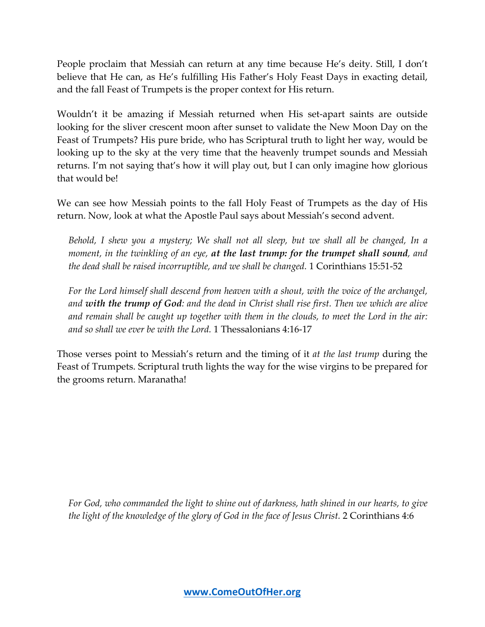People proclaim that Messiah can return at any time because He's deity. Still, I don't believe that He can, as He's fulfilling His Father's Holy Feast Days in exacting detail, and the fall Feast of Trumpets is the proper context for His return.

Wouldn't it be amazing if Messiah returned when His set-apart saints are outside looking for the sliver crescent moon after sunset to validate the New Moon Day on the Feast of Trumpets? His pure bride, who has Scriptural truth to light her way, would be looking up to the sky at the very time that the heavenly trumpet sounds and Messiah returns. I'm not saying that's how it will play out, but I can only imagine how glorious that would be!

We can see how Messiah points to the fall Holy Feast of Trumpets as the day of His return. Now, look at what the Apostle Paul says about Messiah's second advent.

*Behold, I shew you a mystery; We shall not all sleep, but we shall all be changed, In a moment, in the twinkling of an eye, at the last trump: for the trumpet shall sound, and the dead shall be raised incorruptible, and we shall be changed.* 1 Corinthians 15:51-52

*For the Lord himself shall descend from heaven with a shout, with the voice of the archangel, and with the trump of God: and the dead in Christ shall rise first. Then we which are alive and remain shall be caught up together with them in the clouds, to meet the Lord in the air: and so shall we ever be with the Lord.* 1 Thessalonians 4:16-17

Those verses point to Messiah's return and the timing of it *at the last trump* during the Feast of Trumpets. Scriptural truth lights the way for the wise virgins to be prepared for the grooms return. Maranatha!

*For God, who commanded the light to shine out of darkness, hath shined in our hearts, to give the light of the knowledge of the glory of God in the face of Jesus Christ.* 2 Corinthians 4:6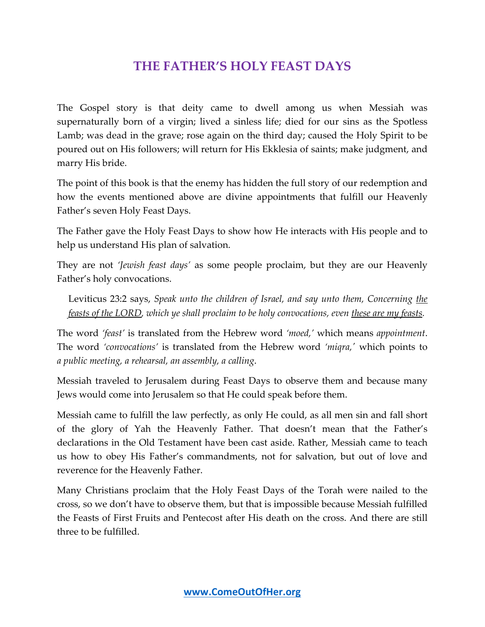## **THE FATHER'S HOLY FEAST DAYS**

The Gospel story is that deity came to dwell among us when Messiah was supernaturally born of a virgin; lived a sinless life; died for our sins as the Spotless Lamb; was dead in the grave; rose again on the third day; caused the Holy Spirit to be poured out on His followers; will return for His Ekklesia of saints; make judgment, and marry His bride.

The point of this book is that the enemy has hidden the full story of our redemption and how the events mentioned above are divine appointments that fulfill our Heavenly Father's seven Holy Feast Days.

The Father gave the Holy Feast Days to show how He interacts with His people and to help us understand His plan of salvation.

They are not *'Jewish feast days'* as some people proclaim, but they are our Heavenly Father's holy convocations.

Leviticus 23:2 says, *Speak unto the children of Israel, and say unto them, Concerning the feasts of the LORD, which ye shall proclaim to be holy convocations, even these are my feasts.*

The word *'feast'* is translated from the Hebrew word *'moed,'* which means *appointment*. The word *'convocations'* is translated from the Hebrew word *'miqra,'* which points to *a public meeting, a rehearsal, an assembly, a calling*.

Messiah traveled to Jerusalem during Feast Days to observe them and because many Jews would come into Jerusalem so that He could speak before them.

Messiah came to fulfill the law perfectly, as only He could, as all men sin and fall short of the glory of Yah the Heavenly Father. That doesn't mean that the Father's declarations in the Old Testament have been cast aside. Rather, Messiah came to teach us how to obey His Father's commandments, not for salvation, but out of love and reverence for the Heavenly Father.

Many Christians proclaim that the Holy Feast Days of the Torah were nailed to the cross, so we don't have to observe them, but that is impossible because Messiah fulfilled the Feasts of First Fruits and Pentecost after His death on the cross. And there are still three to be fulfilled.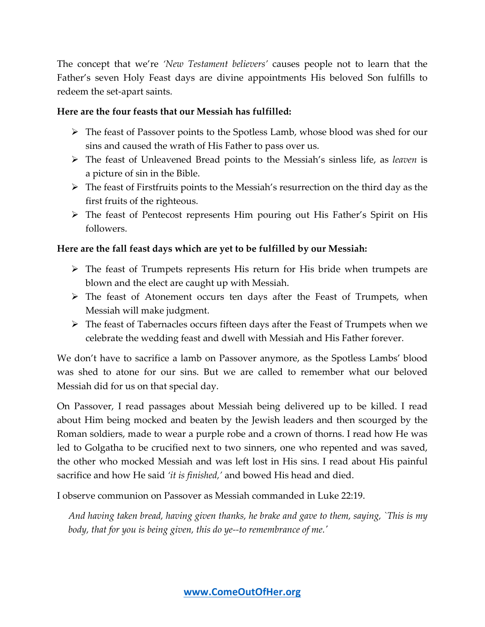The concept that we're *'New Testament believers'* causes people not to learn that the Father's seven Holy Feast days are divine appointments His beloved Son fulfills to redeem the set-apart saints.

#### **Here are the four feasts that our Messiah has fulfilled:**

- $\triangleright$  The feast of Passover points to the Spotless Lamb, whose blood was shed for our sins and caused the wrath of His Father to pass over us.
- The feast of Unleavened Bread points to the Messiah's sinless life, as *leaven* is a picture of sin in the Bible.
- $\triangleright$  The feast of Firstfruits points to the Messiah's resurrection on the third day as the first fruits of the righteous.
- $\triangleright$  The feast of Pentecost represents Him pouring out His Father's Spirit on His followers.

#### **Here are the fall feast days which are yet to be fulfilled by our Messiah:**

- $\triangleright$  The feast of Trumpets represents His return for His bride when trumpets are blown and the elect are caught up with Messiah.
- The feast of Atonement occurs ten days after the Feast of Trumpets, when Messiah will make judgment.
- The feast of Tabernacles occurs fifteen days after the Feast of Trumpets when we celebrate the wedding feast and dwell with Messiah and His Father forever.

We don't have to sacrifice a lamb on Passover anymore, as the Spotless Lambs' blood was shed to atone for our sins. But we are called to remember what our beloved Messiah did for us on that special day.

On Passover, I read passages about Messiah being delivered up to be killed. I read about Him being mocked and beaten by the Jewish leaders and then scourged by the Roman soldiers, made to wear a purple robe and a crown of thorns. I read how He was led to Golgatha to be crucified next to two sinners, one who repented and was saved, the other who mocked Messiah and was left lost in His sins. I read about His painful sacrifice and how He said *'it is finished,'* and bowed His head and died.

I observe communion on Passover as Messiah commanded in Luke 22:19.

*And having taken bread, having given thanks, he brake and gave to them, saying, `This is my body, that for you is being given, this do ye--to remembrance of me.'*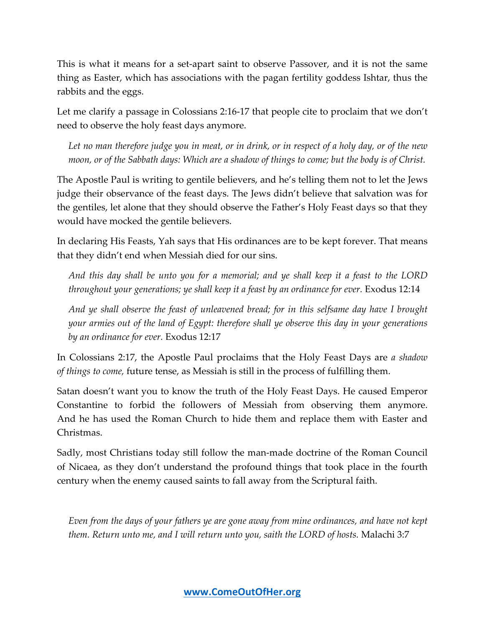This is what it means for a set-apart saint to observe Passover, and it is not the same thing as Easter, which has associations with the pagan fertility goddess Ishtar, thus the rabbits and the eggs.

Let me clarify a passage in Colossians 2:16-17 that people cite to proclaim that we don't need to observe the holy feast days anymore.

*Let no man therefore judge you in meat, or in drink, or in respect of a holy day, or of the new moon, or of the Sabbath days: Which are a shadow of things to come; but the body is of Christ.*

The Apostle Paul is writing to gentile believers, and he's telling them not to let the Jews judge their observance of the feast days. The Jews didn't believe that salvation was for the gentiles, let alone that they should observe the Father's Holy Feast days so that they would have mocked the gentile believers.

In declaring His Feasts, Yah says that His ordinances are to be kept forever. That means that they didn't end when Messiah died for our sins.

*And this day shall be unto you for a memorial; and ye shall keep it a feast to the LORD throughout your generations; ye shall keep it a feast by an ordinance for ever.* Exodus 12:14

*And ye shall observe the feast of unleavened bread; for in this selfsame day have I brought your armies out of the land of Egypt: therefore shall ye observe this day in your generations by an ordinance for ever.* Exodus 12:17

In Colossians 2:17, the Apostle Paul proclaims that the Holy Feast Days are *a shadow of things to come,* future tense, as Messiah is still in the process of fulfilling them.

Satan doesn't want you to know the truth of the Holy Feast Days. He caused Emperor Constantine to forbid the followers of Messiah from observing them anymore. And he has used the Roman Church to hide them and replace them with Easter and Christmas.

Sadly, most Christians today still follow the man-made doctrine of the Roman Council of Nicaea, as they don't understand the profound things that took place in the fourth century when the enemy caused saints to fall away from the Scriptural faith.

*Even from the days of your fathers ye are gone away from mine ordinances, and have not kept them. Return unto me, and I will return unto you, saith the LORD of hosts.* Malachi 3:7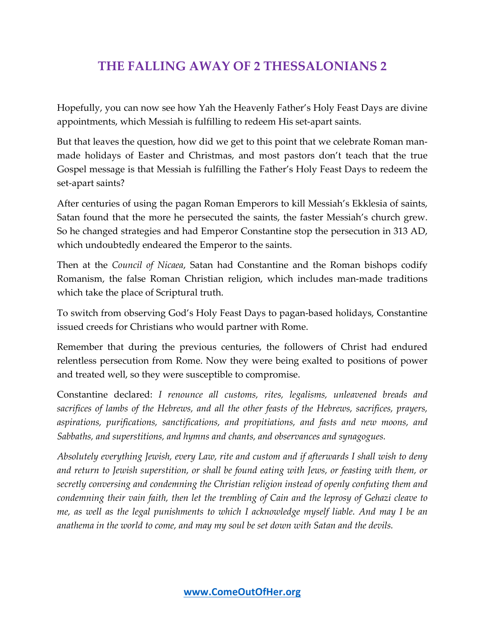# **THE FALLING AWAY OF 2 THESSALONIANS 2**

Hopefully, you can now see how Yah the Heavenly Father's Holy Feast Days are divine appointments, which Messiah is fulfilling to redeem His set-apart saints.

But that leaves the question, how did we get to this point that we celebrate Roman manmade holidays of Easter and Christmas, and most pastors don't teach that the true Gospel message is that Messiah is fulfilling the Father's Holy Feast Days to redeem the set-apart saints?

After centuries of using the pagan Roman Emperors to kill Messiah's Ekklesia of saints, Satan found that the more he persecuted the saints, the faster Messiah's church grew. So he changed strategies and had Emperor Constantine stop the persecution in 313 AD, which undoubtedly endeared the Emperor to the saints.

Then at the *Council of Nicaea*, Satan had Constantine and the Roman bishops codify Romanism, the false Roman Christian religion, which includes man-made traditions which take the place of Scriptural truth.

To switch from observing God's Holy Feast Days to pagan-based holidays, Constantine issued creeds for Christians who would partner with Rome.

Remember that during the previous centuries, the followers of Christ had endured relentless persecution from Rome. Now they were being exalted to positions of power and treated well, so they were susceptible to compromise.

Constantine declared: *I renounce all customs, rites, legalisms, unleavened breads and sacrifices of lambs of the Hebrews, and all the other feasts of the Hebrews, sacrifices, prayers, aspirations, purifications, sanctifications, and propitiations, and fasts and new moons, and Sabbaths, and superstitions, and hymns and chants, and observances and synagogues.*

*Absolutely everything Jewish, every Law, rite and custom and if afterwards I shall wish to deny*  and return to Jewish superstition, or shall be found eating with Jews, or feasting with them, or *secretly conversing and condemning the Christian religion instead of openly confuting them and condemning their vain faith, then let the trembling of Cain and the leprosy of Gehazi cleave to me, as well as the legal punishments to which I acknowledge myself liable. And may I be an anathema in the world to come, and may my soul be set down with Satan and the devils.*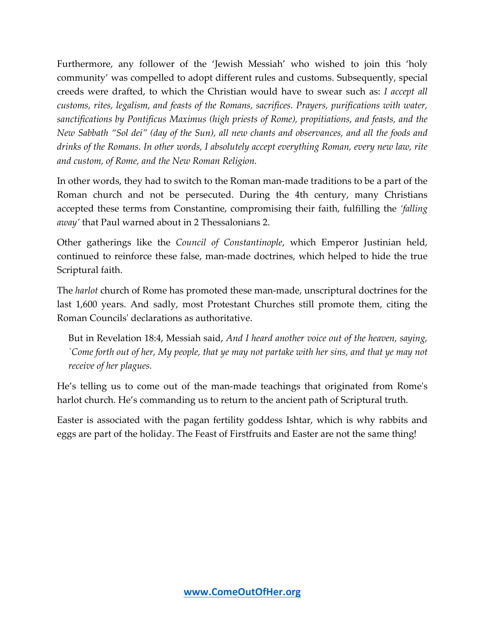Furthermore, any follower of the 'Jewish Messiah' who wished to join this 'holy community' was compelled to adopt different rules and customs. Subsequently, special creeds were drafted, to which the Christian would have to swear such as: *I accept all customs, rites, legalism, and feasts of the Romans, sacrifices. Prayers, purifications with water, sanctifications by Pontificus Maximus (high priests of Rome), propitiations, and feasts, and the New Sabbath "Sol dei" (day of the Sun), all new chants and observances, and all the foods and drinks of the Romans. In other words, I absolutely accept everything Roman, every new law, rite and custom, of Rome, and the New Roman Religion.*

In other words, they had to switch to the Roman man-made traditions to be a part of the Roman church and not be persecuted. During the 4th century, many Christians accepted these terms from Constantine, compromising their faith, fulfilling the *'falling away'* that Paul warned about in 2 Thessalonians 2.

Other gatherings like the *Council of Constantinople*, which Emperor Justinian held, continued to reinforce these false, man-made doctrines, which helped to hide the true Scriptural faith.

The *harlot* church of Rome has promoted these man-made, unscriptural doctrines for the last 1,600 years. And sadly, most Protestant Churches still promote them, citing the Roman Councils' declarations as authoritative.

But in Revelation 18:4, Messiah said, *And I heard another voice out of the heaven, saying, `Come forth out of her, My people, that ye may not partake with her sins, and that ye may not receive of her plagues.*

He's telling us to come out of the man-made teachings that originated from Rome's harlot church. He's commanding us to return to the ancient path of Scriptural truth.

Easter is associated with the pagan fertility goddess Ishtar, which is why rabbits and eggs are part of the holiday. The Feast of Firstfruits and Easter are not the same thing!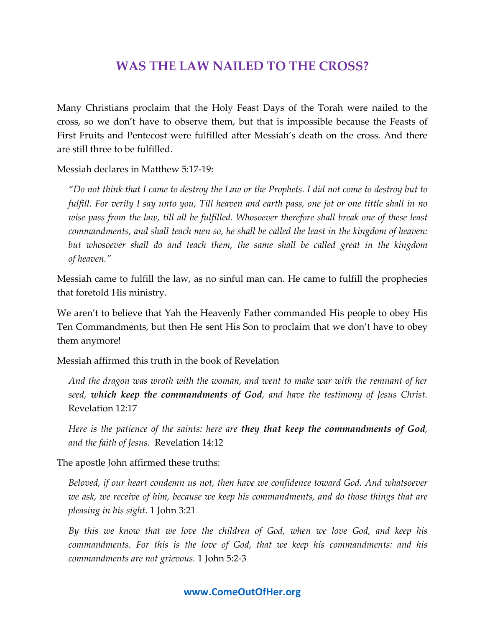## **WAS THE LAW NAILED TO THE CROSS?**

Many Christians proclaim that the Holy Feast Days of the Torah were nailed to the cross, so we don't have to observe them, but that is impossible because the Feasts of First Fruits and Pentecost were fulfilled after Messiah's death on the cross. And there are still three to be fulfilled.

Messiah declares in Matthew 5:17-19:

*"Do not think that I came to destroy the Law or the Prophets. I did not come to destroy but to fulfill. For verily I say unto you, Till heaven and earth pass, one jot or one tittle shall in no wise pass from the law, till all be fulfilled. Whosoever therefore shall break one of these least commandments, and shall teach men so, he shall be called the least in the kingdom of heaven:*  but whosoever shall do and teach them, the same shall be called great in the kingdom *of heaven."*

Messiah came to fulfill the law, as no sinful man can. He came to fulfill the prophecies that foretold His ministry.

We aren't to believe that Yah the Heavenly Father commanded His people to obey His Ten Commandments, but then He sent His Son to proclaim that we don't have to obey them anymore!

Messiah affirmed this truth in the book of Revelation

*And the dragon was wroth with the woman, and went to make war with the remnant of her seed, which keep the commandments of God, and have the testimony of Jesus Christ.* Revelation 12:17

*Here is the patience of the saints: here are they that keep the commandments of God, and the faith of Jesus.* Revelation 14:12

The apostle John affirmed these truths:

*Beloved, if our heart condemn us not, then have we confidence toward God. And whatsoever we ask, we receive of him, because we keep his commandments, and do those things that are pleasing in his sight.* 1 John 3:21

*By this we know that we love the children of God, when we love God, and keep his commandments. For this is the love of God, that we keep his commandments: and his commandments are not grievous.* 1 John 5:2-3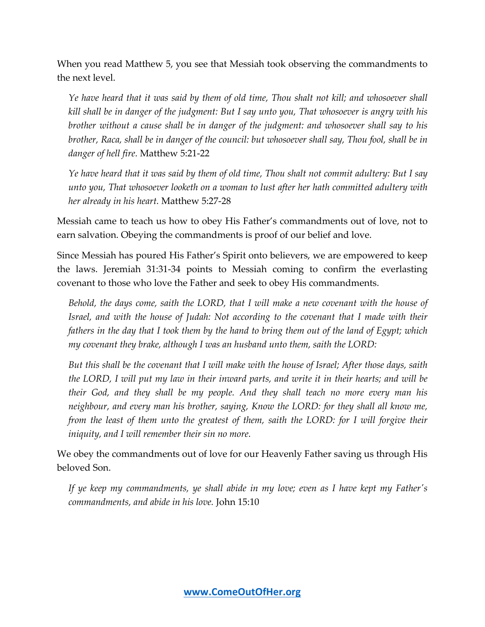When you read Matthew 5, you see that Messiah took observing the commandments to the next level.

*Ye have heard that it was said by them of old time, Thou shalt not kill; and whosoever shall kill shall be in danger of the judgment: But I say unto you, That whosoever is angry with his brother without a cause shall be in danger of the judgment: and whosoever shall say to his brother, Raca, shall be in danger of the council: but whosoever shall say, Thou fool, shall be in danger of hell fire.* Matthew 5:21-22

*Ye have heard that it was said by them of old time, Thou shalt not commit adultery: But I say unto you, That whosoever looketh on a woman to lust after her hath committed adultery with her already in his heart.* Matthew 5:27-28

Messiah came to teach us how to obey His Father's commandments out of love, not to earn salvation. Obeying the commandments is proof of our belief and love.

Since Messiah has poured His Father's Spirit onto believers, we are empowered to keep the laws. Jeremiah 31:31-34 points to Messiah coming to confirm the everlasting covenant to those who love the Father and seek to obey His commandments.

*Behold, the days come, saith the LORD, that I will make a new covenant with the house of Israel, and with the house of Judah: Not according to the covenant that I made with their fathers in the day that I took them by the hand to bring them out of the land of Egypt; which my covenant they brake, although I was an husband unto them, saith the LORD:*

*But this shall be the covenant that I will make with the house of Israel; After those days, saith the LORD, I will put my law in their inward parts, and write it in their hearts; and will be their God, and they shall be my people. And they shall teach no more every man his neighbour, and every man his brother, saying, Know the LORD: for they shall all know me, from the least of them unto the greatest of them, saith the LORD: for I will forgive their iniquity, and I will remember their sin no more.*

We obey the commandments out of love for our Heavenly Father saving us through His beloved Son.

*If ye keep my commandments, ye shall abide in my love; even as I have kept my Father's commandments, and abide in his love.* John 15:10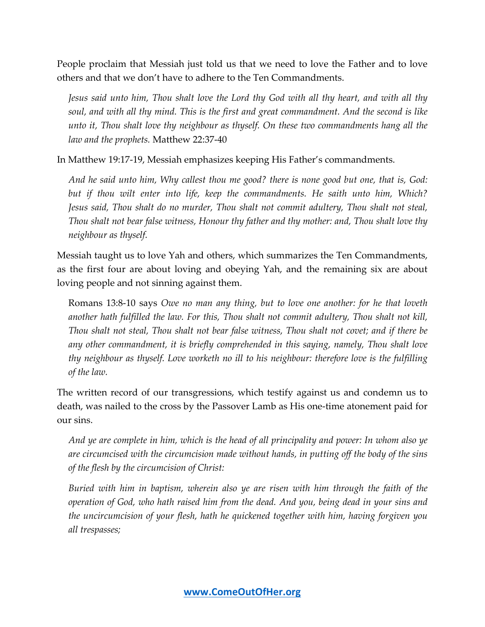People proclaim that Messiah just told us that we need to love the Father and to love others and that we don't have to adhere to the Ten Commandments.

*Jesus said unto him, Thou shalt love the Lord thy God with all thy heart, and with all thy soul, and with all thy mind. This is the first and great commandment. And the second is like unto it, Thou shalt love thy neighbour as thyself. On these two commandments hang all the law and the prophets.* Matthew 22:37-40

In Matthew 19:17-19, Messiah emphasizes keeping His Father's commandments.

*And he said unto him, Why callest thou me good? there is none good but one, that is, God: but if thou wilt enter into life, keep the commandments. He saith unto him, Which? Jesus said, Thou shalt do no murder, Thou shalt not commit adultery, Thou shalt not steal, Thou shalt not bear false witness, Honour thy father and thy mother: and, Thou shalt love thy neighbour as thyself.*

Messiah taught us to love Yah and others, which summarizes the Ten Commandments, as the first four are about loving and obeying Yah, and the remaining six are about loving people and not sinning against them.

Romans 13:8-10 says *Owe no man any thing, but to love one another: for he that loveth another hath fulfilled the law. For this, Thou shalt not commit adultery, Thou shalt not kill, Thou shalt not steal, Thou shalt not bear false witness, Thou shalt not covet; and if there be any other commandment, it is briefly comprehended in this saying, namely, Thou shalt love thy neighbour as thyself. Love worketh no ill to his neighbour: therefore love is the fulfilling of the law.*

The written record of our transgressions, which testify against us and condemn us to death, was nailed to the cross by the Passover Lamb as His one-time atonement paid for our sins.

*And ye are complete in him, which is the head of all principality and power: In whom also ye are circumcised with the circumcision made without hands, in putting off the body of the sins of the flesh by the circumcision of Christ:* 

*Buried with him in baptism, wherein also ye are risen with him through the faith of the operation of God, who hath raised him from the dead. And you, being dead in your sins and the uncircumcision of your flesh, hath he quickened together with him, having forgiven you all trespasses;*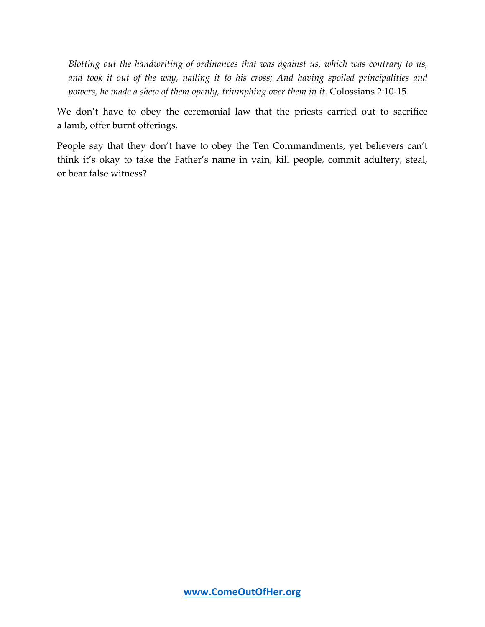*Blotting out the handwriting of ordinances that was against us, which was contrary to us, and took it out of the way, nailing it to his cross; And having spoiled principalities and powers, he made a shew of them openly, triumphing over them in it.* Colossians 2:10-15

We don't have to obey the ceremonial law that the priests carried out to sacrifice a lamb, offer burnt offerings.

People say that they don't have to obey the Ten Commandments, yet believers can't think it's okay to take the Father's name in vain, kill people, commit adultery, steal, or bear false witness?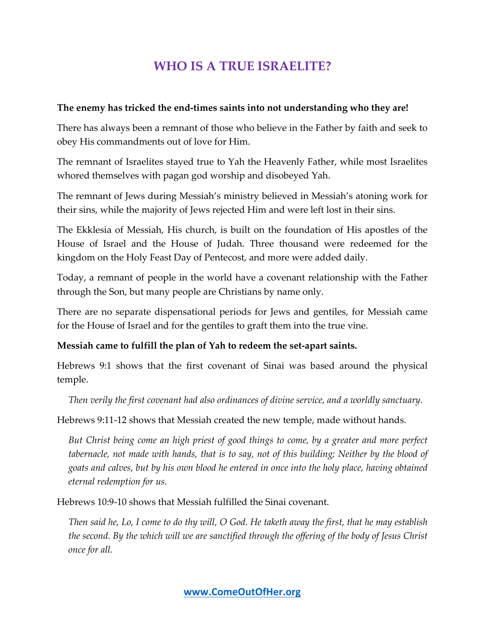# **WHO IS A TRUE ISRAELITE?**

#### **The enemy has tricked the end-times saints into not understanding who they are!**

There has always been a remnant of those who believe in the Father by faith and seek to obey His commandments out of love for Him.

The remnant of Israelites stayed true to Yah the Heavenly Father, while most Israelites whored themselves with pagan god worship and disobeyed Yah.

The remnant of Jews during Messiah's ministry believed in Messiah's atoning work for their sins, while the majority of Jews rejected Him and were left lost in their sins.

The Ekklesia of Messiah, His church, is built on the foundation of His apostles of the House of Israel and the House of Judah. Three thousand were redeemed for the kingdom on the Holy Feast Day of Pentecost, and more were added daily.

Today, a remnant of people in the world have a covenant relationship with the Father through the Son, but many people are Christians by name only.

There are no separate dispensational periods for Jews and gentiles, for Messiah came for the House of Israel and for the gentiles to graft them into the true vine.

#### **Messiah came to fulfill the plan of Yah to redeem the set-apart saints.**

Hebrews 9:1 shows that the first covenant of Sinai was based around the physical temple.

*Then verily the first covenant had also ordinances of divine service, and a worldly sanctuary.*

Hebrews 9:11-12 shows that Messiah created the new temple, made without hands.

*But Christ being come an high priest of good things to come, by a greater and more perfect tabernacle, not made with hands, that is to say, not of this building; Neither by the blood of goats and calves, but by his own blood he entered in once into the holy place, having obtained eternal redemption for us.*

Hebrews 10:9-10 shows that Messiah fulfilled the Sinai covenant.

*Then said he, Lo, I come to do thy will, O God. He taketh away the first, that he may establish the second. By the which will we are sanctified through the offering of the body of Jesus Christ once for all.*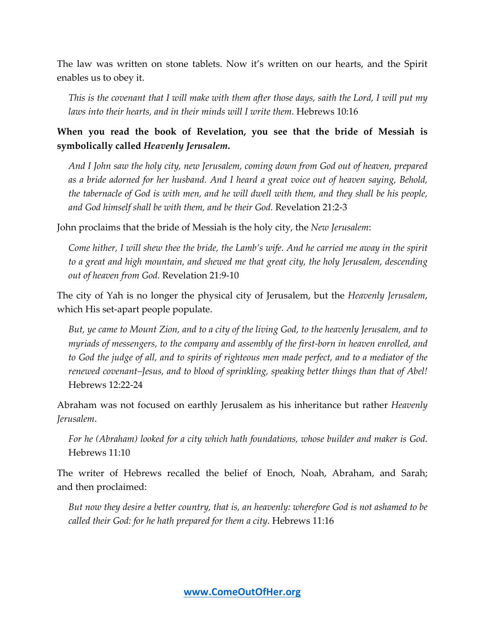The law was written on stone tablets. Now it's written on our hearts, and the Spirit enables us to obey it.

*This is the covenant that I will make with them after those days, saith the Lord, I will put my laws into their hearts, and in their minds will I write them.* Hebrews 10:16

**When you read the book of Revelation, you see that the bride of Messiah is symbolically called** *Heavenly Jerusalem***.**

*And I John saw the holy city, new Jerusalem, coming down from God out of heaven, prepared as a bride adorned for her husband. And I heard a great voice out of heaven saying, Behold, the tabernacle of God is with men, and he will dwell with them, and they shall be his people, and God himself shall be with them, and be their God.* Revelation 21:2-3

John proclaims that the bride of Messiah is the holy city, the *New Jerusalem*:

*Come hither, I will shew thee the bride, the Lamb's wife. And he carried me away in the spirit to a great and high mountain, and shewed me that great city, the holy Jerusalem, descending out of heaven from God.* Revelation 21:9-10

The city of Yah is no longer the physical city of Jerusalem, but the *Heavenly Jerusalem*, which His set-apart people populate.

*But, ye came to Mount Zion, and to a city of the living God, to the heavenly Jerusalem, and to myriads of messengers, to the company and assembly of the first-born in heaven enrolled, and to God the judge of all, and to spirits of righteous men made perfect, and to a mediator of the renewed covenant–Jesus, and to blood of sprinkling, speaking better things than that of Abel!* Hebrews 12:22-24

Abraham was not focused on earthly Jerusalem as his inheritance but rather *Heavenly Jerusalem*.

*For he (Abraham) looked for a city which hath foundations, whose builder and maker is God.* Hebrews 11:10

The writer of Hebrews recalled the belief of Enoch, Noah, Abraham, and Sarah; and then proclaimed:

*But now they desire a better country, that is, an heavenly: wherefore God is not ashamed to be called their God: for he hath prepared for them a city.* Hebrews 11:16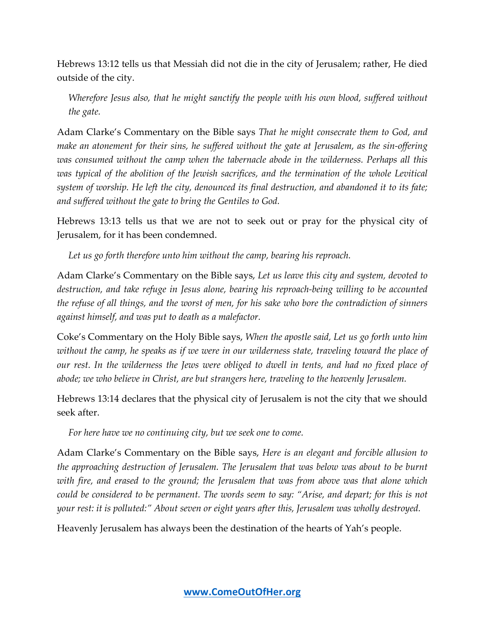Hebrews 13:12 tells us that Messiah did not die in the city of Jerusalem; rather, He died outside of the city.

*Wherefore Jesus also, that he might sanctify the people with his own blood, suffered without the gate.*

Adam Clarke's Commentary on the Bible says *That he might consecrate them to God, and make an atonement for their sins, he suffered without the gate at Jerusalem, as the sin-offering was consumed without the camp when the tabernacle abode in the wilderness. Perhaps all this*  was typical of the abolition of the Jewish sacrifices, and the termination of the whole Levitical *system of worship. He left the city, denounced its final destruction, and abandoned it to its fate; and suffered without the gate to bring the Gentiles to God.*

Hebrews 13:13 tells us that we are not to seek out or pray for the physical city of Jerusalem, for it has been condemned.

*Let us go forth therefore unto him without the camp, bearing his reproach.*

Adam Clarke's Commentary on the Bible says, *Let us leave this city and system, devoted to destruction, and take refuge in Jesus alone, bearing his reproach-being willing to be accounted the refuse of all things, and the worst of men, for his sake who bore the contradiction of sinners against himself, and was put to death as a malefactor.*

Coke's Commentary on the Holy Bible says, *When the apostle said, Let us go forth unto him without the camp, he speaks as if we were in our wilderness state, traveling toward the place of our rest. In the wilderness the Jews were obliged to dwell in tents, and had no fixed place of abode; we who believe in Christ, are but strangers here, traveling to the heavenly Jerusalem.*

Hebrews 13:14 declares that the physical city of Jerusalem is not the city that we should seek after.

*For here have we no continuing city, but we seek one to come.*

Adam Clarke's Commentary on the Bible says, *Here is an elegant and forcible allusion to the approaching destruction of Jerusalem. The Jerusalem that was below was about to be burnt with fire, and erased to the ground; the Jerusalem that was from above was that alone which could be considered to be permanent. The words seem to say: "Arise, and depart; for this is not your rest: it is polluted:" About seven or eight years after this, Jerusalem was wholly destroyed.*

Heavenly Jerusalem has always been the destination of the hearts of Yah's people.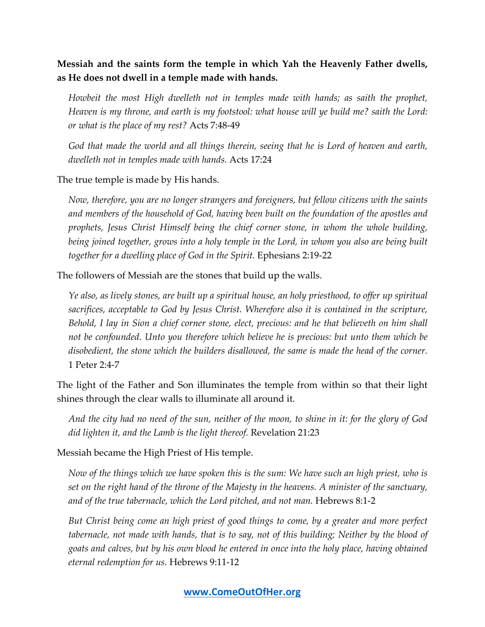### **Messiah and the saints form the temple in which Yah the Heavenly Father dwells, as He does not dwell in a temple made with hands.**

*Howbeit the most High dwelleth not in temples made with hands; as saith the prophet, Heaven is my throne, and earth is my footstool: what house will ye build me? saith the Lord: or what is the place of my rest?* Acts 7:48-49

*God that made the world and all things therein, seeing that he is Lord of heaven and earth, dwelleth not in temples made with hands.* Acts 17:24

The true temple is made by His hands.

*Now, therefore, you are no longer strangers and foreigners, but fellow citizens with the saints and members of the household of God, having been built on the foundation of the apostles and prophets, Jesus Christ Himself being the chief corner stone, in whom the whole building, being joined together, grows into a holy temple in the Lord, in whom you also are being built together for a dwelling place of God in the Spirit.* Ephesians 2:19-22

The followers of Messiah are the stones that build up the walls.

*Ye also, as lively stones, are built up a spiritual house, an holy priesthood, to offer up spiritual*  sacrifices, acceptable to God by Jesus Christ. Wherefore also it is contained in the scripture, *Behold, I lay in Sion a chief corner stone, elect, precious: and he that believeth on him shall not be confounded. Unto you therefore which believe he is precious: but unto them which be disobedient, the stone which the builders disallowed, the same is made the head of the corner.* 1 Peter 2:4-7

The light of the Father and Son illuminates the temple from within so that their light shines through the clear walls to illuminate all around it.

*And the city had no need of the sun, neither of the moon, to shine in it: for the glory of God did lighten it, and the Lamb is the light thereof.* Revelation 21:23

Messiah became the High Priest of His temple.

*Now of the things which we have spoken this is the sum: We have such an high priest, who is set on the right hand of the throne of the Majesty in the heavens. A minister of the sanctuary, and of the true tabernacle, which the Lord pitched, and not man.* Hebrews 8:1-2

*But Christ being come an high priest of good things to come, by a greater and more perfect tabernacle, not made with hands, that is to say, not of this building; Neither by the blood of goats and calves, but by his own blood he entered in once into the holy place, having obtained eternal redemption for us.* Hebrews 9:11-12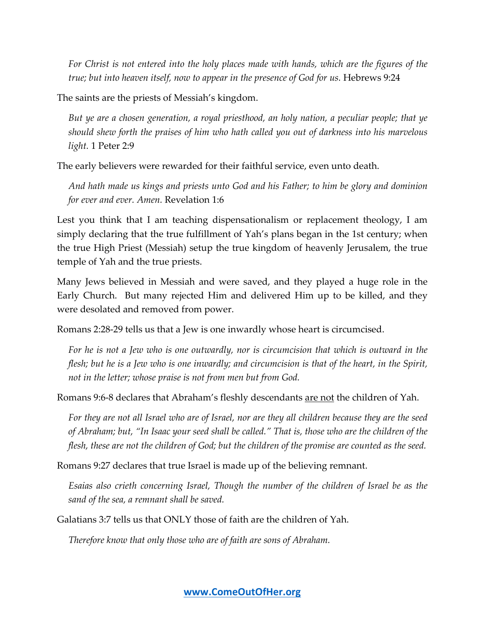*For Christ is not entered into the holy places made with hands, which are the figures of the true; but into heaven itself, now to appear in the presence of God for us.* Hebrews 9:24

The saints are the priests of Messiah's kingdom.

*But ye are a chosen generation, a royal priesthood, an holy nation, a peculiar people; that ye should shew forth the praises of him who hath called you out of darkness into his marvelous light.* 1 Peter 2:9

The early believers were rewarded for their faithful service, even unto death.

*And hath made us kings and priests unto God and his Father; to him be glory and dominion for ever and ever. Amen.* Revelation 1:6

Lest you think that I am teaching dispensationalism or replacement theology, I am simply declaring that the true fulfillment of Yah's plans began in the 1st century; when the true High Priest (Messiah) setup the true kingdom of heavenly Jerusalem, the true temple of Yah and the true priests.

Many Jews believed in Messiah and were saved, and they played a huge role in the Early Church. But many rejected Him and delivered Him up to be killed, and they were desolated and removed from power.

Romans 2:28-29 tells us that a Jew is one inwardly whose heart is circumcised.

*For he is not a Jew who is one outwardly, nor is circumcision that which is outward in the flesh; but he is a Jew who is one inwardly; and circumcision is that of the heart, in the Spirit, not in the letter; whose praise is not from men but from God.*

Romans 9:6-8 declares that Abraham's fleshly descendants are not the children of Yah.

*For they are not all Israel who are of Israel, nor are they all children because they are the seed of Abraham; but, "In Isaac your seed shall be called." That is, those who are the children of the flesh, these are not the children of God; but the children of the promise are counted as the seed.*

Romans 9:27 declares that true Israel is made up of the believing remnant.

*Esaias also crieth concerning Israel, Though the number of the children of Israel be as the sand of the sea, a remnant shall be saved.*

Galatians 3:7 tells us that ONLY those of faith are the children of Yah.

*Therefore know that only those who are of faith are sons of Abraham.*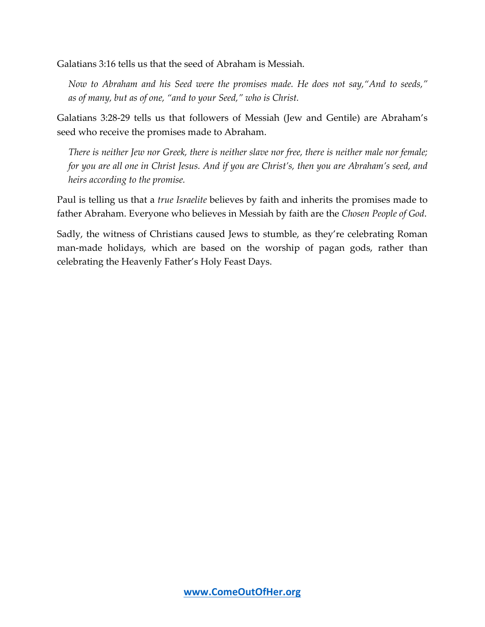Galatians 3:16 tells us that the seed of Abraham is Messiah.

*Now to Abraham and his Seed were the promises made. He does not say,"And to seeds," as of many, but as of one, "and to your Seed," who is Christ.*

Galatians 3:28-29 tells us that followers of Messiah (Jew and Gentile) are Abraham's seed who receive the promises made to Abraham.

*There is neither Jew nor Greek, there is neither slave nor free, there is neither male nor female; for you are all one in Christ Jesus. And if you are Christ's, then you are Abraham's seed, and heirs according to the promise.*

Paul is telling us that a *true Israelite* believes by faith and inherits the promises made to father Abraham. Everyone who believes in Messiah by faith are the *Chosen People of God*.

Sadly, the witness of Christians caused Jews to stumble, as they're celebrating Roman man-made holidays, which are based on the worship of pagan gods, rather than celebrating the Heavenly Father's Holy Feast Days.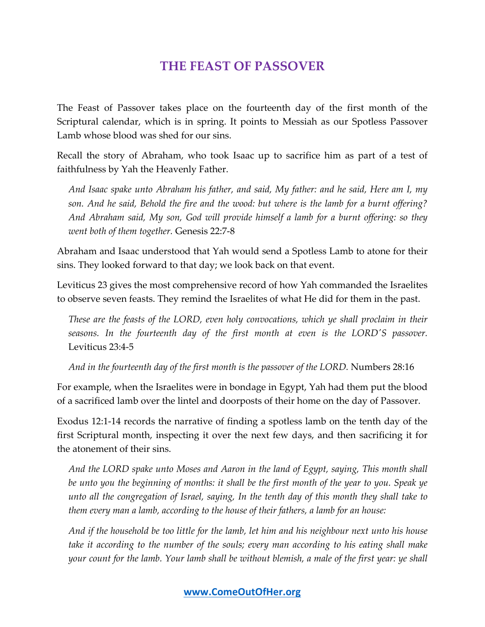## **THE FEAST OF PASSOVER**

The Feast of Passover takes place on the fourteenth day of the first month of the Scriptural calendar, which is in spring. It points to Messiah as our Spotless Passover Lamb whose blood was shed for our sins.

Recall the story of Abraham, who took Isaac up to sacrifice him as part of a test of faithfulness by Yah the Heavenly Father.

*And Isaac spake unto Abraham his father, and said, My father: and he said, Here am I, my son. And he said, Behold the fire and the wood: but where is the lamb for a burnt offering? And Abraham said, My son, God will provide himself a lamb for a burnt offering: so they went both of them together.* Genesis 22:7-8

Abraham and Isaac understood that Yah would send a Spotless Lamb to atone for their sins. They looked forward to that day; we look back on that event.

Leviticus 23 gives the most comprehensive record of how Yah commanded the Israelites to observe seven feasts. They remind the Israelites of what He did for them in the past.

*These are the feasts of the LORD, even holy convocations, which ye shall proclaim in their seasons. In the fourteenth day of the first month at even is the LORD'S passover.* Leviticus 23:4-5

*And in the fourteenth day of the first month is the passover of the LORD.* Numbers 28:16

For example, when the Israelites were in bondage in Egypt, Yah had them put the blood of a sacrificed lamb over the lintel and doorposts of their home on the day of Passover.

Exodus 12:1-14 records the narrative of finding a spotless lamb on the tenth day of the first Scriptural month, inspecting it over the next few days, and then sacrificing it for the atonement of their sins.

*And the LORD spake unto Moses and Aaron in the land of Egypt, saying, This month shall be unto you the beginning of months: it shall be the first month of the year to you. Speak ye unto all the congregation of Israel, saying, In the tenth day of this month they shall take to them every man a lamb, according to the house of their fathers, a lamb for an house:*

*And if the household be too little for the lamb, let him and his neighbour next unto his house take it according to the number of the souls; every man according to his eating shall make your count for the lamb. Your lamb shall be without blemish, a male of the first year: ye shall*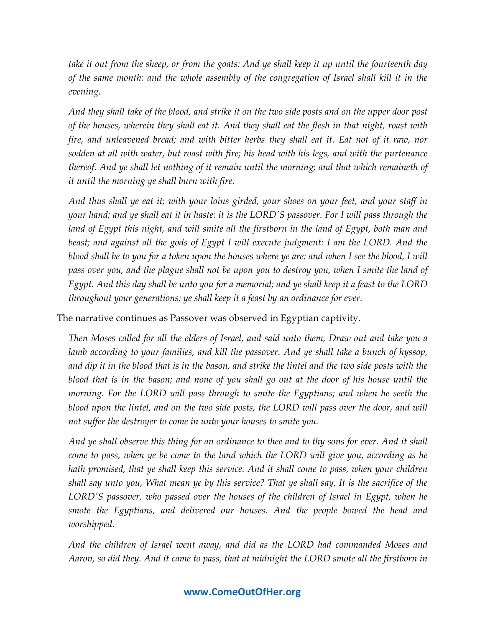*take it out from the sheep, or from the goats: And ye shall keep it up until the fourteenth day of the same month: and the whole assembly of the congregation of Israel shall kill it in the evening.*

*And they shall take of the blood, and strike it on the two side posts and on the upper door post of the houses, wherein they shall eat it. And they shall eat the flesh in that night, roast with fire, and unleavened bread; and with bitter herbs they shall eat it. Eat not of it raw, nor sodden at all with water, but roast with fire; his head with his legs, and with the purtenance thereof. And ye shall let nothing of it remain until the morning; and that which remaineth of it until the morning ye shall burn with fire.*

*And thus shall ye eat it; with your loins girded, your shoes on your feet, and your staff in your hand; and ye shall eat it in haste: it is the LORD'S passover. For I will pass through the land of Egypt this night, and will smite all the firstborn in the land of Egypt, both man and beast; and against all the gods of Egypt I will execute judgment: I am the LORD. And the blood shall be to you for a token upon the houses where ye are: and when I see the blood, I will*  pass over you, and the plague shall not be upon you to destroy you, when I smite the land of *Egypt. And this day shall be unto you for a memorial; and ye shall keep it a feast to the LORD throughout your generations; ye shall keep it a feast by an ordinance for ever.*

The narrative continues as Passover was observed in Egyptian captivity.

*Then Moses called for all the elders of Israel, and said unto them, Draw out and take you a lamb according to your families, and kill the passover. And ye shall take a bunch of hyssop, and dip it in the blood that is in the bason, and strike the lintel and the two side posts with the blood that is in the bason; and none of you shall go out at the door of his house until the morning. For the LORD will pass through to smite the Egyptians; and when he seeth the blood upon the lintel, and on the two side posts, the LORD will pass over the door, and will not suffer the destroyer to come in unto your houses to smite you.*

*And ye shall observe this thing for an ordinance to thee and to thy sons for ever. And it shall come to pass, when ye be come to the land which the LORD will give you, according as he hath promised, that ye shall keep this service. And it shall come to pass, when your children shall say unto you, What mean ye by this service? That ye shall say, It is the sacrifice of the LORD'S passover, who passed over the houses of the children of Israel in Egypt, when he smote the Egyptians, and delivered our houses. And the people bowed the head and worshipped.*

*And the children of Israel went away, and did as the LORD had commanded Moses and Aaron, so did they. And it came to pass, that at midnight the LORD smote all the firstborn in*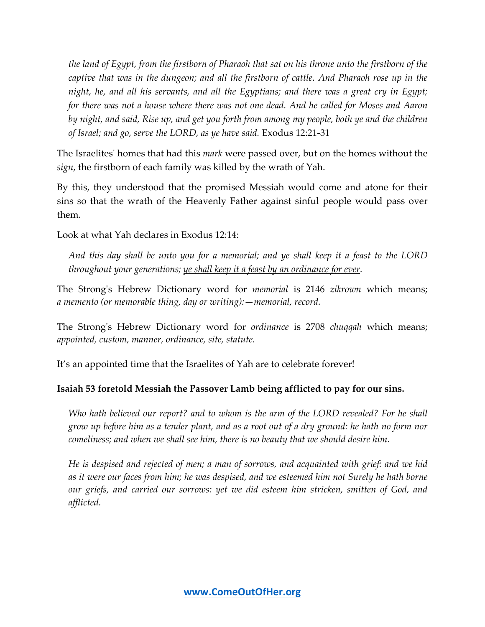*the land of Egypt, from the firstborn of Pharaoh that sat on his throne unto the firstborn of the captive that was in the dungeon; and all the firstborn of cattle. And Pharaoh rose up in the night, he, and all his servants, and all the Egyptians; and there was a great cry in Egypt; for there was not a house where there was not one dead. And he called for Moses and Aaron by night, and said, Rise up, and get you forth from among my people, both ye and the children of Israel; and go, serve the LORD, as ye have said.* Exodus 12:21-31

The Israelites' homes that had this *mark* were passed over, but on the homes without the *sign*, the firstborn of each family was killed by the wrath of Yah.

By this, they understood that the promised Messiah would come and atone for their sins so that the wrath of the Heavenly Father against sinful people would pass over them.

Look at what Yah declares in Exodus 12:14:

*And this day shall be unto you for a memorial; and ye shall keep it a feast to the LORD throughout your generations; ye shall keep it a feast by an ordinance for ever.*

The Strong's Hebrew Dictionary word for *memorial* is 2146 *zikrown* which means; *a memento (or memorable thing, day or writing):—memorial, record.*

The Strong's Hebrew Dictionary word for *ordinance* is 2708 *chuqqah* which means; *appointed, custom, manner, ordinance, site, statute.*

It's an appointed time that the Israelites of Yah are to celebrate forever!

#### **Isaiah 53 foretold Messiah the Passover Lamb being afflicted to pay for our sins.**

*Who hath believed our report? and to whom is the arm of the LORD revealed? For he shall grow up before him as a tender plant, and as a root out of a dry ground: he hath no form nor comeliness; and when we shall see him, there is no beauty that we should desire him.*

*He is despised and rejected of men; a man of sorrows, and acquainted with grief: and we hid as it were our faces from him; he was despised, and we esteemed him not Surely he hath borne our griefs, and carried our sorrows: yet we did esteem him stricken, smitten of God, and afflicted.*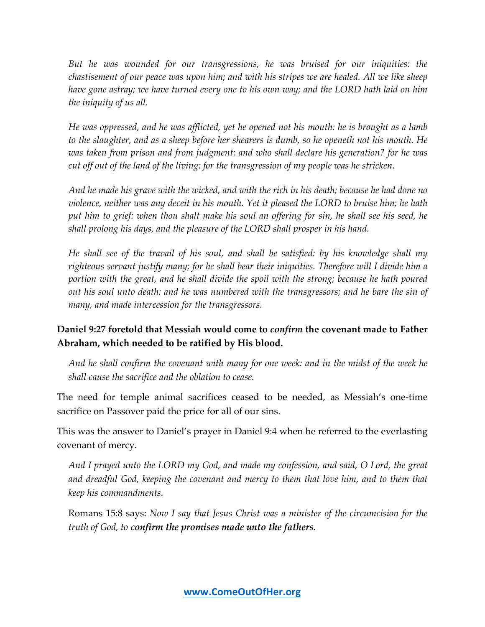*But he was wounded for our transgressions, he was bruised for our iniquities: the chastisement of our peace was upon him; and with his stripes we are healed. All we like sheep have gone astray; we have turned every one to his own way; and the LORD hath laid on him the iniquity of us all.*

*He was oppressed, and he was afflicted, yet he opened not his mouth: he is brought as a lamb to the slaughter, and as a sheep before her shearers is dumb, so he openeth not his mouth. He was taken from prison and from judgment: and who shall declare his generation? for he was cut off out of the land of the living: for the transgression of my people was he stricken.*

*And he made his grave with the wicked, and with the rich in his death; because he had done no violence, neither was any deceit in his mouth. Yet it pleased the LORD to bruise him; he hath put him to grief: when thou shalt make his soul an offering for sin, he shall see his seed, he shall prolong his days, and the pleasure of the LORD shall prosper in his hand.*

*He shall see of the travail of his soul, and shall be satisfied: by his knowledge shall my righteous servant justify many; for he shall bear their iniquities. Therefore will I divide him a portion with the great, and he shall divide the spoil with the strong; because he hath poured out his soul unto death: and he was numbered with the transgressors; and he bare the sin of many, and made intercession for the transgressors.*

## **Daniel 9:27 foretold that Messiah would come to** *confirm* **the covenant made to Father Abraham, which needed to be ratified by His blood.**

*And he shall confirm the covenant with many for one week: and in the midst of the week he shall cause the sacrifice and the oblation to cease.*

The need for temple animal sacrifices ceased to be needed, as Messiah's one-time sacrifice on Passover paid the price for all of our sins.

This was the answer to Daniel's prayer in Daniel 9:4 when he referred to the everlasting covenant of mercy.

*And I prayed unto the LORD my God, and made my confession, and said, O Lord, the great and dreadful God, keeping the covenant and mercy to them that love him, and to them that keep his commandments.*

Romans 15:8 says: *Now I say that Jesus Christ was a minister of the circumcision for the truth of God, to confirm the promises made unto the fathers.*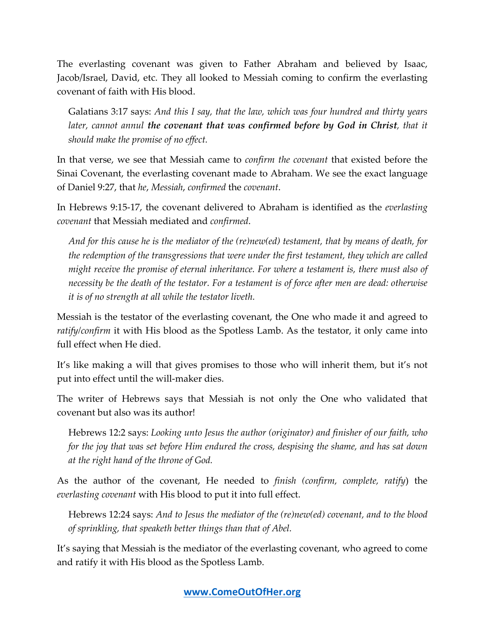The everlasting covenant was given to Father Abraham and believed by Isaac, Jacob/Israel, David, etc. They all looked to Messiah coming to confirm the everlasting covenant of faith with His blood.

Galatians 3:17 says: *And this I say, that the law, which was four hundred and thirty years later, cannot annul the covenant that was confirmed before by God in Christ, that it should make the promise of no effect.*

In that verse, we see that Messiah came to *confirm the covenant* that existed before the Sinai Covenant, the everlasting covenant made to Abraham. We see the exact language of Daniel 9:27, that *he*, *Messiah*, *confirmed* the *covenant*.

In Hebrews 9:15-17, the covenant delivered to Abraham is identified as the *everlasting covenant* that Messiah mediated and *confirmed*.

*And for this cause he is the mediator of the (re)new(ed) testament, that by means of death, for the redemption of the transgressions that were under the first testament, they which are called might receive the promise of eternal inheritance. For where a testament is, there must also of necessity be the death of the testator. For a testament is of force after men are dead: otherwise it is of no strength at all while the testator liveth.*

Messiah is the testator of the everlasting covenant, the One who made it and agreed to *ratify/confirm* it with His blood as the Spotless Lamb. As the testator, it only came into full effect when He died.

It's like making a will that gives promises to those who will inherit them, but it's not put into effect until the will-maker dies.

The writer of Hebrews says that Messiah is not only the One who validated that covenant but also was its author!

Hebrews 12:2 says: *Looking unto Jesus the author (originator) and finisher of our faith, who for the joy that was set before Him endured the cross, despising the shame, and has sat down at the right hand of the throne of God.*

As the author of the covenant, He needed to *finish (confirm, complete, ratify*) the *everlasting covenant* with His blood to put it into full effect.

Hebrews 12:24 says: *And to Jesus the mediator of the (re)new(ed) covenant, and to the blood of sprinkling, that speaketh better things than that of Abel.*

It's saying that Messiah is the mediator of the everlasting covenant, who agreed to come and ratify it with His blood as the Spotless Lamb.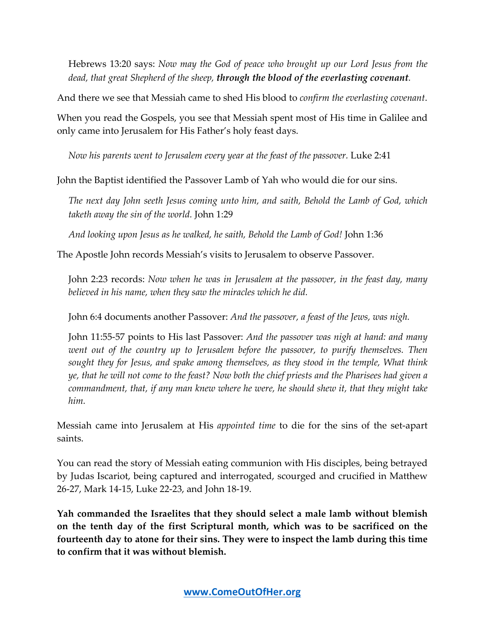Hebrews 13:20 says: *Now may the God of peace who brought up our Lord Jesus from the dead, that great Shepherd of the sheep, through the blood of the everlasting covenant.*

And there we see that Messiah came to shed His blood to *confirm the everlasting covenant*.

When you read the Gospels, you see that Messiah spent most of His time in Galilee and only came into Jerusalem for His Father's holy feast days.

*Now his parents went to Jerusalem every year at the feast of the passover.* Luke 2:41

John the Baptist identified the Passover Lamb of Yah who would die for our sins.

*The next day John seeth Jesus coming unto him, and saith, Behold the Lamb of God, which taketh away the sin of the world.* John 1:29

*And looking upon Jesus as he walked, he saith, Behold the Lamb of God!* John 1:36

The Apostle John records Messiah's visits to Jerusalem to observe Passover.

John 2:23 records: *Now when he was in Jerusalem at the passover, in the feast day, many believed in his name, when they saw the miracles which he did.*

John 6:4 documents another Passover: *And the passover, a feast of the Jews, was nigh.*

John 11:55-57 points to His last Passover: *And the passover was nigh at hand: and many went out of the country up to Jerusalem before the passover, to purify themselves. Then sought they for Jesus, and spake among themselves, as they stood in the temple, What think ye, that he will not come to the feast? Now both the chief priests and the Pharisees had given a commandment, that, if any man knew where he were, he should shew it, that they might take him.*

Messiah came into Jerusalem at His *appointed time* to die for the sins of the set-apart saints.

You can read the story of Messiah eating communion with His disciples, being betrayed by Judas Iscariot, being captured and interrogated, scourged and crucified in Matthew 26-27, Mark 14-15, Luke 22-23, and John 18-19.

**Yah commanded the Israelites that they should select a male lamb without blemish on the tenth day of the first Scriptural month, which was to be sacrificed on the fourteenth day to atone for their sins. They were to inspect the lamb during this time to confirm that it was without blemish.**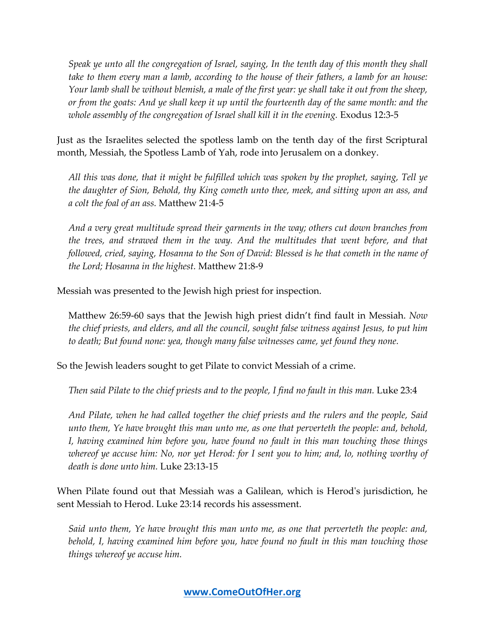*Speak ye unto all the congregation of Israel, saying, In the tenth day of this month they shall take to them every man a lamb, according to the house of their fathers, a lamb for an house: Your lamb shall be without blemish, a male of the first year: ye shall take it out from the sheep, or from the goats: And ye shall keep it up until the fourteenth day of the same month: and the whole assembly of the congregation of Israel shall kill it in the evening.* Exodus 12:3-5

Just as the Israelites selected the spotless lamb on the tenth day of the first Scriptural month, Messiah, the Spotless Lamb of Yah, rode into Jerusalem on a donkey.

*All this was done, that it might be fulfilled which was spoken by the prophet, saying, Tell ye the daughter of Sion, Behold, thy King cometh unto thee, meek, and sitting upon an ass, and a colt the foal of an ass.* Matthew 21:4-5

*And a very great multitude spread their garments in the way; others cut down branches from the trees, and strawed them in the way. And the multitudes that went before, and that followed, cried, saying, Hosanna to the Son of David: Blessed is he that cometh in the name of the Lord; Hosanna in the highest.* Matthew 21:8-9

Messiah was presented to the Jewish high priest for inspection.

Matthew 26:59-60 says that the Jewish high priest didn't find fault in Messiah. *Now the chief priests, and elders, and all the council, sought false witness against Jesus, to put him to death; But found none: yea, though many false witnesses came, yet found they none.* 

So the Jewish leaders sought to get Pilate to convict Messiah of a crime.

*Then said Pilate to the chief priests and to the people, I find no fault in this man.* Luke 23:4

*And Pilate, when he had called together the chief priests and the rulers and the people, Said unto them, Ye have brought this man unto me, as one that perverteth the people: and, behold, I, having examined him before you, have found no fault in this man touching those things whereof ye accuse him: No, nor yet Herod: for I sent you to him; and, lo, nothing worthy of death is done unto him.* Luke 23:13-15

When Pilate found out that Messiah was a Galilean, which is Herod's jurisdiction, he sent Messiah to Herod. Luke 23:14 records his assessment.

*Said unto them, Ye have brought this man unto me, as one that perverteth the people: and, behold, I, having examined him before you, have found no fault in this man touching those things whereof ye accuse him.*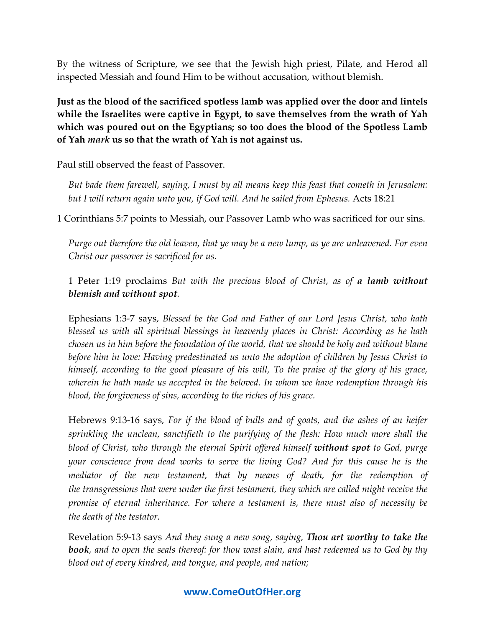By the witness of Scripture, we see that the Jewish high priest, Pilate, and Herod all inspected Messiah and found Him to be without accusation, without blemish.

**Just as the blood of the sacrificed spotless lamb was applied over the door and lintels while the Israelites were captive in Egypt, to save themselves from the wrath of Yah which was poured out on the Egyptians; so too does the blood of the Spotless Lamb of Yah** *mark* **us so that the wrath of Yah is not against us.**

Paul still observed the feast of Passover.

*But bade them farewell, saying, I must by all means keep this feast that cometh in Jerusalem: but I will return again unto you, if God will. And he sailed from Ephesus.* Acts 18:21

1 Corinthians 5:7 points to Messiah, our Passover Lamb who was sacrificed for our sins.

*Purge out therefore the old leaven, that ye may be a new lump, as ye are unleavened. For even Christ our passover is sacrificed for us.*

1 Peter 1:19 proclaims *But with the precious blood of Christ, as of a lamb without blemish and without spot.*

Ephesians 1:3-7 says, *Blessed be the God and Father of our Lord Jesus Christ, who hath blessed us with all spiritual blessings in heavenly places in Christ: According as he hath chosen us in him before the foundation of the world, that we should be holy and without blame before him in love: Having predestinated us unto the adoption of children by Jesus Christ to himself, according to the good pleasure of his will, To the praise of the glory of his grace, wherein he hath made us accepted in the beloved. In whom we have redemption through his blood, the forgiveness of sins, according to the riches of his grace.*

Hebrews 9:13-16 says, *For if the blood of bulls and of goats, and the ashes of an heifer sprinkling the unclean, sanctifieth to the purifying of the flesh: How much more shall the blood of Christ, who through the eternal Spirit offered himself without spot to God, purge your conscience from dead works to serve the living God? And for this cause he is the mediator of the new testament, that by means of death, for the redemption of the transgressions that were under the first testament, they which are called might receive the promise of eternal inheritance. For where a testament is, there must also of necessity be the death of the testator.*

Revelation 5:9-13 says *And they sung a new song, saying, Thou art worthy to take the book, and to open the seals thereof: for thou wast slain, and hast redeemed us to God by thy blood out of every kindred, and tongue, and people, and nation;*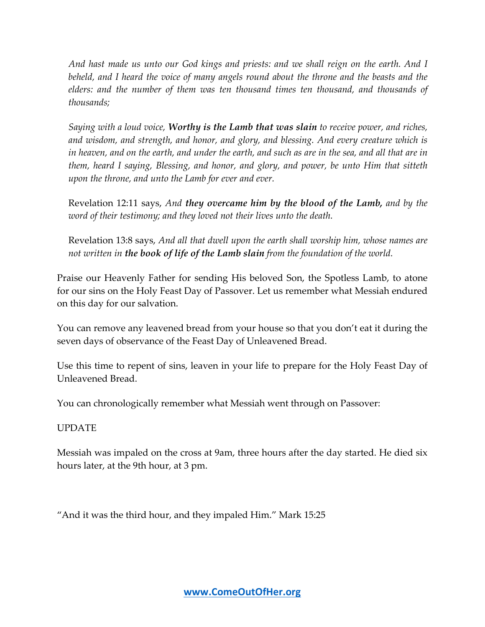*And hast made us unto our God kings and priests: and we shall reign on the earth. And I beheld, and I heard the voice of many angels round about the throne and the beasts and the elders: and the number of them was ten thousand times ten thousand, and thousands of thousands;*

*Saying with a loud voice, Worthy is the Lamb that was slain to receive power, and riches, and wisdom, and strength, and honor, and glory, and blessing. And every creature which is in heaven, and on the earth, and under the earth, and such as are in the sea, and all that are in them, heard I saying, Blessing, and honor, and glory, and power, be unto Him that sitteth upon the throne, and unto the Lamb for ever and ever.*

Revelation 12:11 says, *And they overcame him by the blood of the Lamb, and by the word of their testimony; and they loved not their lives unto the death.*

Revelation 13:8 says, *And all that dwell upon the earth shall worship him, whose names are not written in the book of life of the Lamb slain from the foundation of the world.*

Praise our Heavenly Father for sending His beloved Son, the Spotless Lamb, to atone for our sins on the Holy Feast Day of Passover. Let us remember what Messiah endured on this day for our salvation.

You can remove any leavened bread from your house so that you don't eat it during the seven days of observance of the Feast Day of Unleavened Bread.

Use this time to repent of sins, leaven in your life to prepare for the Holy Feast Day of Unleavened Bread.

You can chronologically remember what Messiah went through on Passover:

#### UPDATE

Messiah was impaled on the cross at 9am, three hours after the day started. He died six hours later, at the 9th hour, at 3 pm.

"And it was the third hour, and they impaled Him." Mark 15:25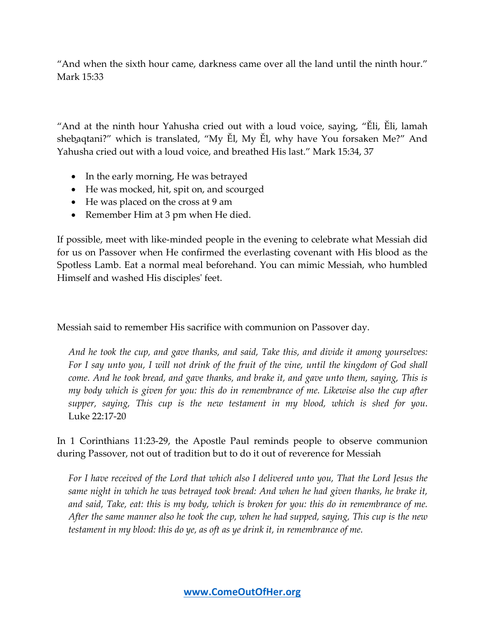"And when the sixth hour came, darkness came over all the land until the ninth hour." Mark 15:33

"And at the ninth hour Yahusha cried out with a loud voice, saying, "Ěli, Ěli, lamah sheḇaqtani?" which is translated, "My Ěl, My Ěl, why have You forsaken Me?" And Yahusha cried out with a loud voice, and breathed His last." Mark 15:34, 37

- In the early morning, He was betrayed
- He was mocked, hit, spit on, and scourged
- He was placed on the cross at 9 am
- Remember Him at 3 pm when He died.

If possible, meet with like-minded people in the evening to celebrate what Messiah did for us on Passover when He confirmed the everlasting covenant with His blood as the Spotless Lamb. Eat a normal meal beforehand. You can mimic Messiah, who humbled Himself and washed His disciples' feet.

Messiah said to remember His sacrifice with communion on Passover day.

*And he took the cup, and gave thanks, and said, Take this, and divide it among yourselves: For I say unto you, I will not drink of the fruit of the vine, until the kingdom of God shall come. And he took bread, and gave thanks, and brake it, and gave unto them, saying, This is my body which is given for you: this do in remembrance of me. Likewise also the cup after supper, saying, This cup is the new testament in my blood, which is shed for you*. Luke 22:17-20

In 1 Corinthians 11:23-29, the Apostle Paul reminds people to observe communion during Passover, not out of tradition but to do it out of reverence for Messiah

*For I have received of the Lord that which also I delivered unto you, That the Lord Jesus the same night in which he was betrayed took bread: And when he had given thanks, he brake it, and said, Take, eat: this is my body, which is broken for you: this do in remembrance of me. After the same manner also he took the cup, when he had supped, saying, This cup is the new testament in my blood: this do ye, as oft as ye drink it, in remembrance of me.*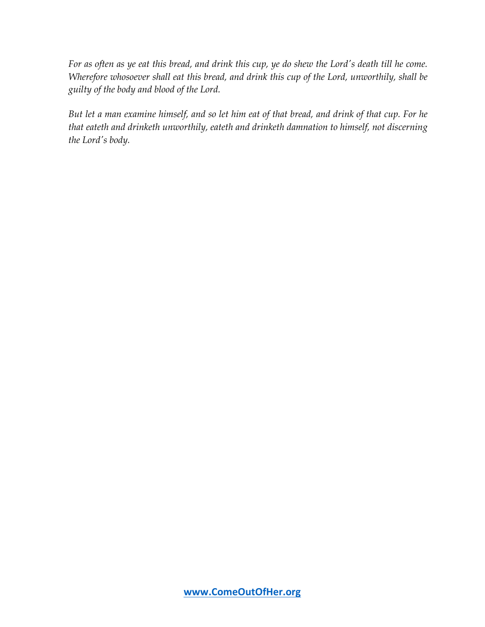*For as often as ye eat this bread, and drink this cup, ye do shew the Lord's death till he come. Wherefore whosoever shall eat this bread, and drink this cup of the Lord, unworthily, shall be guilty of the body and blood of the Lord.*

*But let a man examine himself, and so let him eat of that bread, and drink of that cup. For he that eateth and drinketh unworthily, eateth and drinketh damnation to himself, not discerning the Lord's body.*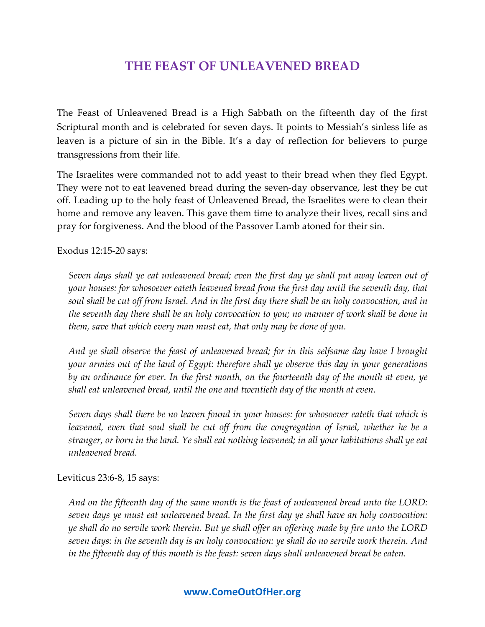## **THE FEAST OF UNLEAVENED BREAD**

The Feast of Unleavened Bread is a High Sabbath on the fifteenth day of the first Scriptural month and is celebrated for seven days. It points to Messiah's sinless life as leaven is a picture of sin in the Bible. It's a day of reflection for believers to purge transgressions from their life.

The Israelites were commanded not to add yeast to their bread when they fled Egypt. They were not to eat leavened bread during the seven-day observance, lest they be cut off. Leading up to the holy feast of Unleavened Bread, the Israelites were to clean their home and remove any leaven. This gave them time to analyze their lives, recall sins and pray for forgiveness. And the blood of the Passover Lamb atoned for their sin.

Exodus 12:15-20 says:

*Seven days shall ye eat unleavened bread; even the first day ye shall put away leaven out of your houses: for whosoever eateth leavened bread from the first day until the seventh day, that soul shall be cut off from Israel. And in the first day there shall be an holy convocation, and in the seventh day there shall be an holy convocation to you; no manner of work shall be done in them, save that which every man must eat, that only may be done of you.*

*And ye shall observe the feast of unleavened bread; for in this selfsame day have I brought your armies out of the land of Egypt: therefore shall ye observe this day in your generations by an ordinance for ever. In the first month, on the fourteenth day of the month at even, ye shall eat unleavened bread, until the one and twentieth day of the month at even.*

*Seven days shall there be no leaven found in your houses: for whosoever eateth that which is leavened, even that soul shall be cut off from the congregation of Israel, whether he be a stranger, or born in the land. Ye shall eat nothing leavened; in all your habitations shall ye eat unleavened bread.*

Leviticus 23:6-8, 15 says:

*And on the fifteenth day of the same month is the feast of unleavened bread unto the LORD: seven days ye must eat unleavened bread. In the first day ye shall have an holy convocation: ye shall do no servile work therein. But ye shall offer an offering made by fire unto the LORD seven days: in the seventh day is an holy convocation: ye shall do no servile work therein. And in the fifteenth day of this month is the feast: seven days shall unleavened bread be eaten.*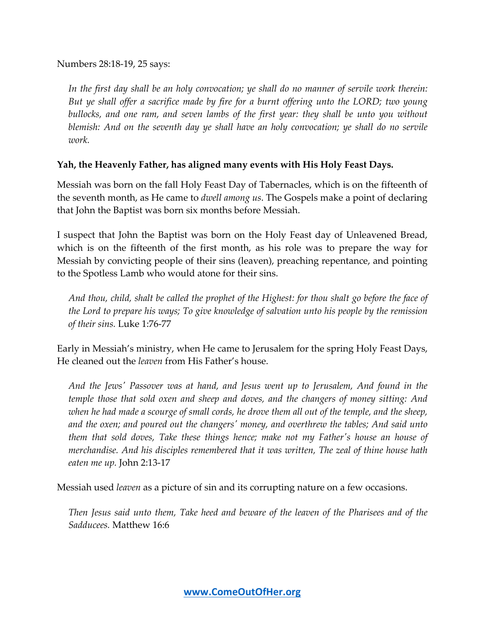Numbers 28:18-19, 25 says:

*In the first day shall be an holy convocation; ye shall do no manner of servile work therein: But ye shall offer a sacrifice made by fire for a burnt offering unto the LORD; two young bullocks, and one ram, and seven lambs of the first year: they shall be unto you without blemish: And on the seventh day ye shall have an holy convocation; ye shall do no servile work.*

#### **Yah, the Heavenly Father, has aligned many events with His Holy Feast Days.**

Messiah was born on the fall Holy Feast Day of Tabernacles, which is on the fifteenth of the seventh month, as He came to *dwell among us*. The Gospels make a point of declaring that John the Baptist was born six months before Messiah.

I suspect that John the Baptist was born on the Holy Feast day of Unleavened Bread, which is on the fifteenth of the first month, as his role was to prepare the way for Messiah by convicting people of their sins (leaven), preaching repentance, and pointing to the Spotless Lamb who would atone for their sins.

*And thou, child, shalt be called the prophet of the Highest: for thou shalt go before the face of the Lord to prepare his ways; To give knowledge of salvation unto his people by the remission of their sins.* Luke 1:76-77

Early in Messiah's ministry, when He came to Jerusalem for the spring Holy Feast Days, He cleaned out the *leaven* from His Father's house.

*And the Jews' Passover was at hand, and Jesus went up to Jerusalem, And found in the temple those that sold oxen and sheep and doves, and the changers of money sitting: And when he had made a scourge of small cords, he drove them all out of the temple, and the sheep, and the oxen; and poured out the changers' money, and overthrew the tables; And said unto them that sold doves, Take these things hence; make not my Father's house an house of merchandise. And his disciples remembered that it was written, The zeal of thine house hath eaten me up.* John 2:13-17

Messiah used *leaven* as a picture of sin and its corrupting nature on a few occasions.

*Then Jesus said unto them, Take heed and beware of the leaven of the Pharisees and of the Sadducees.* Matthew 16:6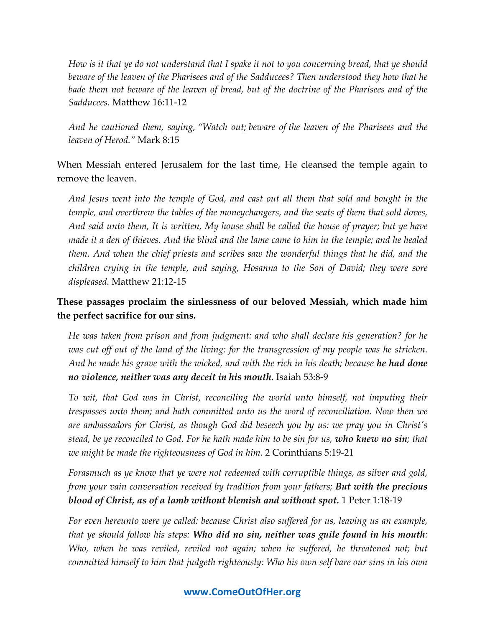*How is it that ye do not understand that I spake it not to you concerning bread, that ye should beware of the leaven of the Pharisees and of the Sadducees? Then understood they how that he bade them not beware of the leaven of bread, but of the doctrine of the Pharisees and of the Sadducees.* Matthew 16:11-12

*And he cautioned them, saying, "Watch out; beware of the leaven of the Pharisees and the leaven of Herod."* Mark 8:15

When Messiah entered Jerusalem for the last time, He cleansed the temple again to remove the leaven.

*And Jesus went into the temple of God, and cast out all them that sold and bought in the temple, and overthrew the tables of the moneychangers, and the seats of them that sold doves, And said unto them, It is written, My house shall be called the house of prayer; but ye have made it a den of thieves. And the blind and the lame came to him in the temple; and he healed them. And when the chief priests and scribes saw the wonderful things that he did, and the children crying in the temple, and saying, Hosanna to the Son of David; they were sore displeased.* Matthew 21:12-15

## **These passages proclaim the sinlessness of our beloved Messiah, which made him the perfect sacrifice for our sins.**

*He was taken from prison and from judgment: and who shall declare his generation? for he was cut off out of the land of the living: for the transgression of my people was he stricken.*  And he made his grave with the wicked, and with the rich in his death; because **he had done** *no violence, neither was any deceit in his mouth.* Isaiah 53:8-9

*To wit, that God was in Christ, reconciling the world unto himself, not imputing their trespasses unto them; and hath committed unto us the word of reconciliation. Now then we are ambassadors for Christ, as though God did beseech you by us: we pray you in Christ's stead, be ye reconciled to God. For he hath made him to be sin for us, who knew no sin; that we might be made the righteousness of God in him.* 2 Corinthians 5:19-21

*Forasmuch as ye know that ye were not redeemed with corruptible things, as silver and gold, from your vain conversation received by tradition from your fathers; But with the precious blood of Christ, as of a lamb without blemish and without spot.* 1 Peter 1:18-19

*For even hereunto were ye called: because Christ also suffered for us, leaving us an example, that ye should follow his steps: Who did no sin, neither was guile found in his mouth: Who, when he was reviled, reviled not again; when he suffered, he threatened not; but committed himself to him that judgeth righteously: Who his own self bare our sins in his own*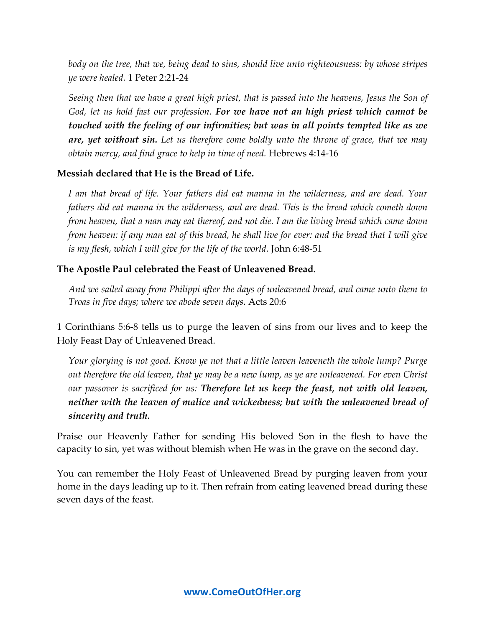*body on the tree, that we, being dead to sins, should live unto righteousness: by whose stripes ye were healed.* 1 Peter 2:21-24

*Seeing then that we have a great high priest, that is passed into the heavens, Jesus the Son of God, let us hold fast our profession. For we have not an high priest which cannot be touched with the feeling of our infirmities; but was in all points tempted like as we are, yet without sin. Let us therefore come boldly unto the throne of grace, that we may obtain mercy, and find grace to help in time of need.* Hebrews 4:14-16

#### **Messiah declared that He is the Bread of Life.**

*I am that bread of life. Your fathers did eat manna in the wilderness, and are dead. Your fathers did eat manna in the wilderness, and are dead. This is the bread which cometh down from heaven, that a man may eat thereof, and not die. I am the living bread which came down from heaven: if any man eat of this bread, he shall live for ever: and the bread that I will give is my flesh, which I will give for the life of the world.* John 6:48-51

#### **The Apostle Paul celebrated the Feast of Unleavened Bread.**

*And we sailed away from Philippi after the days of unleavened bread, and came unto them to Troas in five days; where we abode seven days.* Acts 20:6

1 Corinthians 5:6-8 tells us to purge the leaven of sins from our lives and to keep the Holy Feast Day of Unleavened Bread.

*Your glorying is not good. Know ye not that a little leaven leaveneth the whole lump? Purge out therefore the old leaven, that ye may be a new lump, as ye are unleavened. For even Christ our passover is sacrificed for us: Therefore let us keep the feast, not with old leaven, neither with the leaven of malice and wickedness; but with the unleavened bread of sincerity and truth.*

Praise our Heavenly Father for sending His beloved Son in the flesh to have the capacity to sin, yet was without blemish when He was in the grave on the second day.

You can remember the Holy Feast of Unleavened Bread by purging leaven from your home in the days leading up to it. Then refrain from eating leavened bread during these seven days of the feast.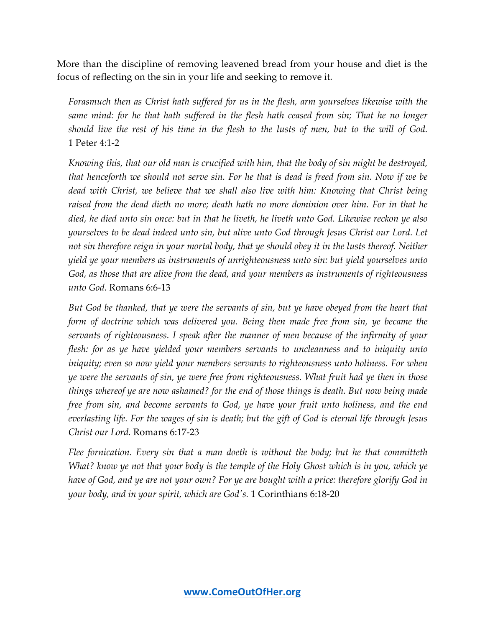More than the discipline of removing leavened bread from your house and diet is the focus of reflecting on the sin in your life and seeking to remove it.

*Forasmuch then as Christ hath suffered for us in the flesh, arm yourselves likewise with the same mind: for he that hath suffered in the flesh hath ceased from sin; That he no longer should live the rest of his time in the flesh to the lusts of men, but to the will of God.* 1 Peter 4:1-2

*Knowing this, that our old man is crucified with him, that the body of sin might be destroyed, that henceforth we should not serve sin. For he that is dead is freed from sin. Now if we be dead with Christ, we believe that we shall also live with him: Knowing that Christ being raised from the dead dieth no more; death hath no more dominion over him. For in that he died, he died unto sin once: but in that he liveth, he liveth unto God. Likewise reckon ye also yourselves to be dead indeed unto sin, but alive unto God through Jesus Christ our Lord. Let not sin therefore reign in your mortal body, that ye should obey it in the lusts thereof. Neither yield ye your members as instruments of unrighteousness unto sin: but yield yourselves unto God, as those that are alive from the dead, and your members as instruments of righteousness unto God.* Romans 6:6-13

*But God be thanked, that ye were the servants of sin, but ye have obeyed from the heart that form of doctrine which was delivered you. Being then made free from sin, ye became the servants of righteousness. I speak after the manner of men because of the infirmity of your flesh: for as ye have yielded your members servants to uncleanness and to iniquity unto iniquity; even so now yield your members servants to righteousness unto holiness. For when ye were the servants of sin, ye were free from righteousness. What fruit had ye then in those things whereof ye are now ashamed? for the end of those things is death. But now being made free from sin, and become servants to God, ye have your fruit unto holiness, and the end everlasting life. For the wages of sin is death; but the gift of God is eternal life through Jesus Christ our Lord.* Romans 6:17-23

*Flee fornication. Every sin that a man doeth is without the body; but he that committeth What? know ye not that your body is the temple of the Holy Ghost which is in you, which ye have of God, and ye are not your own? For ye are bought with a price: therefore glorify God in your body, and in your spirit, which are God's.* 1 Corinthians 6:18-20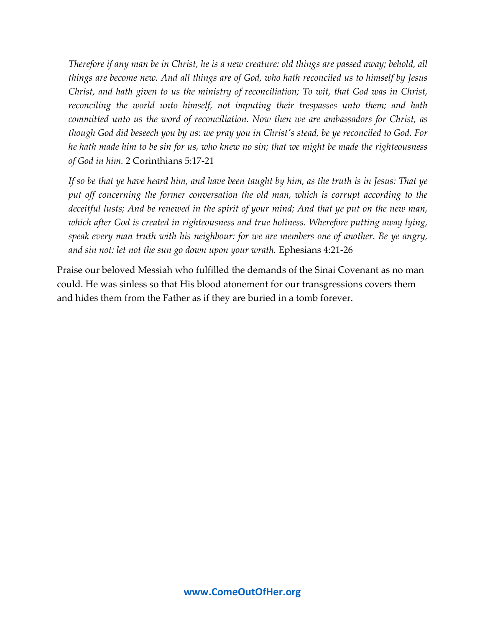*Therefore if any man be in Christ, he is a new creature: old things are passed away; behold, all things are become new. And all things are of God, who hath reconciled us to himself by Jesus Christ, and hath given to us the ministry of reconciliation; To wit, that God was in Christ, reconciling the world unto himself, not imputing their trespasses unto them; and hath committed unto us the word of reconciliation. Now then we are ambassadors for Christ, as though God did beseech you by us: we pray you in Christ's stead, be ye reconciled to God. For he hath made him to be sin for us, who knew no sin; that we might be made the righteousness of God in him.* 2 Corinthians 5:17-21

*If so be that ye have heard him, and have been taught by him, as the truth is in Jesus: That ye*  put off concerning the former conversation the old man, which is corrupt according to the *deceitful lusts; And be renewed in the spirit of your mind; And that ye put on the new man, which after God is created in righteousness and true holiness. Wherefore putting away lying, speak every man truth with his neighbour: for we are members one of another. Be ye angry, and sin not: let not the sun go down upon your wrath.* Ephesians 4:21-26

Praise our beloved Messiah who fulfilled the demands of the Sinai Covenant as no man could. He was sinless so that His blood atonement for our transgressions covers them and hides them from the Father as if they are buried in a tomb forever.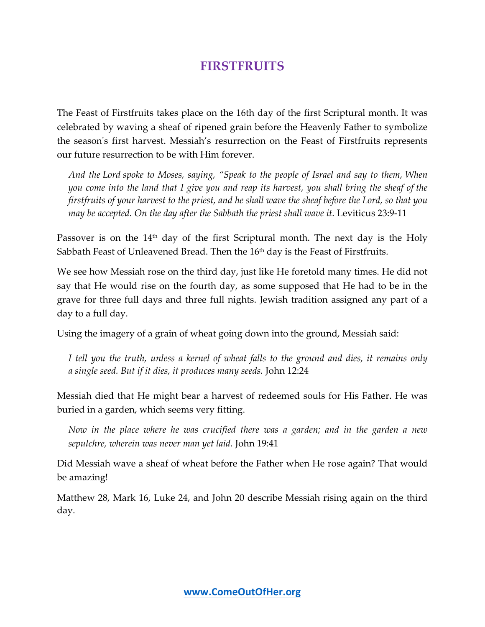## **FIRSTFRUITS**

The Feast of Firstfruits takes place on the 16th day of the first Scriptural month. It was celebrated by waving a sheaf of ripened grain before the Heavenly Father to symbolize the season's first harvest. Messiah's resurrection on the Feast of Firstfruits represents our future resurrection to be with Him forever.

*And the Lord spoke to Moses, saying, "Speak to the people of Israel and say to them, When you come into the land that I give you and reap its harvest, you shall bring the sheaf of the firstfruits of your harvest to the priest, and he shall wave the sheaf before the Lord, so that you may be accepted. On the day after the Sabbath the priest shall wave it. Leviticus 23:9-11* 

Passover is on the  $14<sup>th</sup>$  day of the first Scriptural month. The next day is the Holy Sabbath Feast of Unleavened Bread. Then the  $16<sup>th</sup>$  day is the Feast of Firstfruits.

We see how Messiah rose on the third day, just like He foretold many times. He did not say that He would rise on the fourth day, as some supposed that He had to be in the grave for three full days and three full nights. Jewish tradition assigned any part of a day to a full day.

Using the imagery of a grain of wheat going down into the ground, Messiah said:

*I tell you the truth, unless a kernel of wheat falls to the ground and dies, it remains only a single seed. But if it dies, it produces many seeds.* John 12:24

Messiah died that He might bear a harvest of redeemed souls for His Father. He was buried in a garden, which seems very fitting.

*Now in the place where he was crucified there was a garden; and in the garden a new sepulchre, wherein was never man yet laid.* John 19:41

Did Messiah wave a sheaf of wheat before the Father when He rose again? That would be amazing!

Matthew 28, Mark 16, Luke 24, and John 20 describe Messiah rising again on the third day.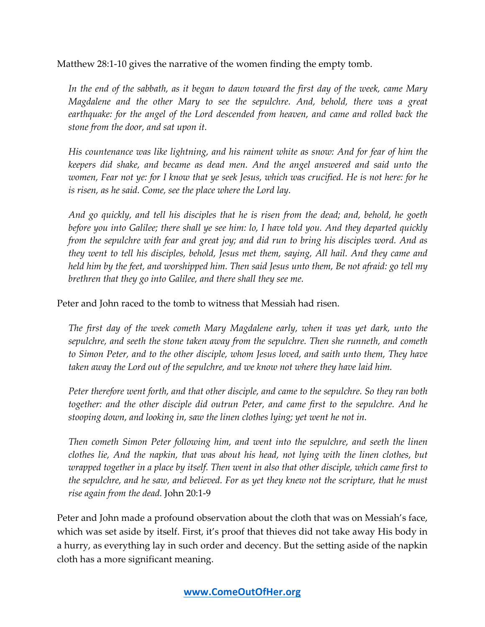Matthew 28:1-10 gives the narrative of the women finding the empty tomb.

*In the end of the sabbath, as it began to dawn toward the first day of the week, came Mary Magdalene and the other Mary to see the sepulchre. And, behold, there was a great earthquake: for the angel of the Lord descended from heaven, and came and rolled back the stone from the door, and sat upon it.* 

*His countenance was like lightning, and his raiment white as snow: And for fear of him the keepers did shake, and became as dead men. And the angel answered and said unto the women, Fear not ye: for I know that ye seek Jesus, which was crucified. He is not here: for he is risen, as he said. Come, see the place where the Lord lay.*

*And go quickly, and tell his disciples that he is risen from the dead; and, behold, he goeth before you into Galilee; there shall ye see him: lo, I have told you. And they departed quickly from the sepulchre with fear and great joy; and did run to bring his disciples word. And as they went to tell his disciples, behold, Jesus met them, saying, All hail. And they came and held him by the feet, and worshipped him. Then said Jesus unto them, Be not afraid: go tell my brethren that they go into Galilee, and there shall they see me.*

Peter and John raced to the tomb to witness that Messiah had risen.

*The first day of the week cometh Mary Magdalene early, when it was yet dark, unto the sepulchre, and seeth the stone taken away from the sepulchre. Then she runneth, and cometh to Simon Peter, and to the other disciple, whom Jesus loved, and saith unto them, They have taken away the Lord out of the sepulchre, and we know not where they have laid him.*

*Peter therefore went forth, and that other disciple, and came to the sepulchre. So they ran both together: and the other disciple did outrun Peter, and came first to the sepulchre. And he stooping down, and looking in, saw the linen clothes lying; yet went he not in.*

*Then cometh Simon Peter following him, and went into the sepulchre, and seeth the linen clothes lie, And the napkin, that was about his head, not lying with the linen clothes, but wrapped together in a place by itself. Then went in also that other disciple, which came first to the sepulchre, and he saw, and believed. For as yet they knew not the scripture, that he must rise again from the dead.* John 20:1-9

Peter and John made a profound observation about the cloth that was on Messiah's face, which was set aside by itself. First, it's proof that thieves did not take away His body in a hurry, as everything lay in such order and decency. But the setting aside of the napkin cloth has a more significant meaning.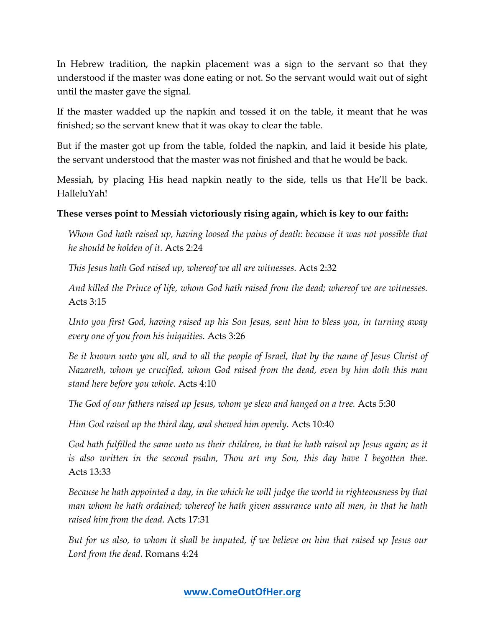In Hebrew tradition, the napkin placement was a sign to the servant so that they understood if the master was done eating or not. So the servant would wait out of sight until the master gave the signal.

If the master wadded up the napkin and tossed it on the table, it meant that he was finished; so the servant knew that it was okay to clear the table.

But if the master got up from the table, folded the napkin, and laid it beside his plate, the servant understood that the master was not finished and that he would be back.

Messiah, by placing His head napkin neatly to the side, tells us that He'll be back. HalleluYah!

#### **These verses point to Messiah victoriously rising again, which is key to our faith:**

*Whom God hath raised up, having loosed the pains of death: because it was not possible that he should be holden of it.* Acts 2:24

*This Jesus hath God raised up, whereof we all are witnesses.* Acts 2:32

*And killed the Prince of life, whom God hath raised from the dead; whereof we are witnesses.* Acts 3:15

*Unto you first God, having raised up his Son Jesus, sent him to bless you, in turning away every one of you from his iniquities.* Acts 3:26

*Be it known unto you all, and to all the people of Israel, that by the name of Jesus Christ of Nazareth, whom ye crucified, whom God raised from the dead, even by him doth this man stand here before you whole.* Acts 4:10

*The God of our fathers raised up Jesus, whom ye slew and hanged on a tree.* Acts 5:30

*Him God raised up the third day, and shewed him openly.* Acts 10:40

*God hath fulfilled the same unto us their children, in that he hath raised up Jesus again; as it is also written in the second psalm, Thou art my Son, this day have I begotten thee.* Acts 13:33

*Because he hath appointed a day, in the which he will judge the world in righteousness by that man whom he hath ordained; whereof he hath given assurance unto all men, in that he hath raised him from the dead.* Acts 17:31

*But for us also, to whom it shall be imputed, if we believe on him that raised up Jesus our Lord from the dead.* Romans 4:24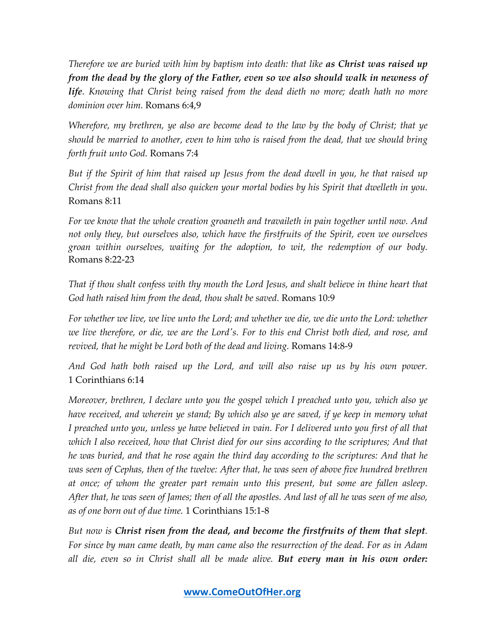*Therefore we are buried with him by baptism into death: that like as Christ was raised up from the dead by the glory of the Father, even so we also should walk in newness of life. Knowing that Christ being raised from the dead dieth no more; death hath no more dominion over him.* Romans 6:4,9

*Wherefore, my brethren, ye also are become dead to the law by the body of Christ; that ye should be married to another, even to him who is raised from the dead, that we should bring forth fruit unto God.* Romans 7:4

*But if the Spirit of him that raised up Jesus from the dead dwell in you, he that raised up Christ from the dead shall also quicken your mortal bodies by his Spirit that dwelleth in you.* Romans 8:11

*For we know that the whole creation groaneth and travaileth in pain together until now. And not only they, but ourselves also, which have the firstfruits of the Spirit, even we ourselves groan within ourselves, waiting for the adoption, to wit, the redemption of our body.* Romans 8:22-23

*That if thou shalt confess with thy mouth the Lord Jesus, and shalt believe in thine heart that God hath raised him from the dead, thou shalt be saved.* Romans 10:9

*For whether we live, we live unto the Lord; and whether we die, we die unto the Lord: whether we live therefore, or die, we are the Lord's. For to this end Christ both died, and rose, and revived, that he might be Lord both of the dead and living.* Romans 14:8-9

*And God hath both raised up the Lord, and will also raise up us by his own power.* 1 Corinthians 6:14

*Moreover, brethren, I declare unto you the gospel which I preached unto you, which also ye have received, and wherein ye stand; By which also ye are saved, if ye keep in memory what I preached unto you, unless ye have believed in vain. For I delivered unto you first of all that which I also received, how that Christ died for our sins according to the scriptures; And that he was buried, and that he rose again the third day according to the scriptures: And that he was seen of Cephas, then of the twelve: After that, he was seen of above five hundred brethren at once; of whom the greater part remain unto this present, but some are fallen asleep. After that, he was seen of James; then of all the apostles. And last of all he was seen of me also, as of one born out of due time.* 1 Corinthians 15:1-8

*But now is Christ risen from the dead, and become the firstfruits of them that slept. For since by man came death, by man came also the resurrection of the dead. For as in Adam all die, even so in Christ shall all be made alive. But every man in his own order:*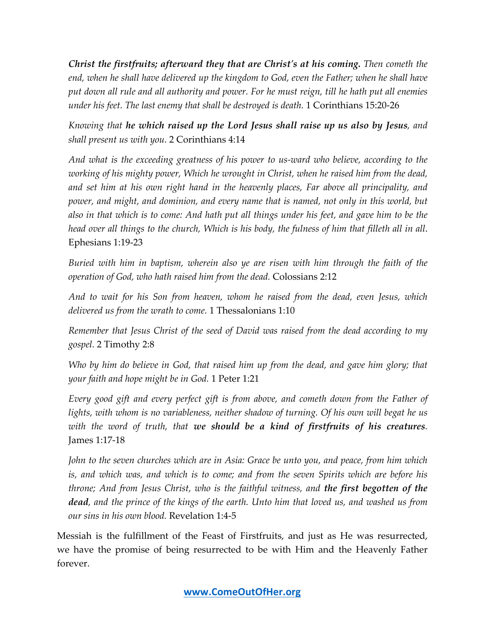*Christ the firstfruits; afterward they that are Christ's at his coming. Then cometh the end, when he shall have delivered up the kingdom to God, even the Father; when he shall have put down all rule and all authority and power. For he must reign, till he hath put all enemies under his feet. The last enemy that shall be destroyed is death.* 1 Corinthians 15:20-26

*Knowing that he which raised up the Lord Jesus shall raise up us also by Jesus, and shall present us with you.* 2 Corinthians 4:14

*And what is the exceeding greatness of his power to us-ward who believe, according to the working of his mighty power, Which he wrought in Christ, when he raised him from the dead, and set him at his own right hand in the heavenly places, Far above all principality, and power, and might, and dominion, and every name that is named, not only in this world, but also in that which is to come: And hath put all things under his feet, and gave him to be the head over all things to the church, Which is his body, the fulness of him that filleth all in all*. Ephesians 1:19-23

*Buried with him in baptism, wherein also ye are risen with him through the faith of the operation of God, who hath raised him from the dead.* Colossians 2:12

*And to wait for his Son from heaven, whom he raised from the dead, even Jesus, which delivered us from the wrath to come.* 1 Thessalonians 1:10

*Remember that Jesus Christ of the seed of David was raised from the dead according to my gospel.* 2 Timothy 2:8

*Who by him do believe in God, that raised him up from the dead, and gave him glory; that your faith and hope might be in God.* 1 Peter 1:21

*Every good gift and every perfect gift is from above, and cometh down from the Father of lights, with whom is no variableness, neither shadow of turning. Of his own will begat he us with the word of truth, that we should be a kind of firstfruits of his creatures.* James 1:17-18

*John to the seven churches which are in Asia: Grace be unto you, and peace, from him which is, and which was, and which is to come; and from the seven Spirits which are before his throne; And from Jesus Christ, who is the faithful witness, and the first begotten of the dead, and the prince of the kings of the earth. Unto him that loved us, and washed us from our sins in his own blood.* Revelation 1:4-5

Messiah is the fulfillment of the Feast of Firstfruits, and just as He was resurrected, we have the promise of being resurrected to be with Him and the Heavenly Father forever.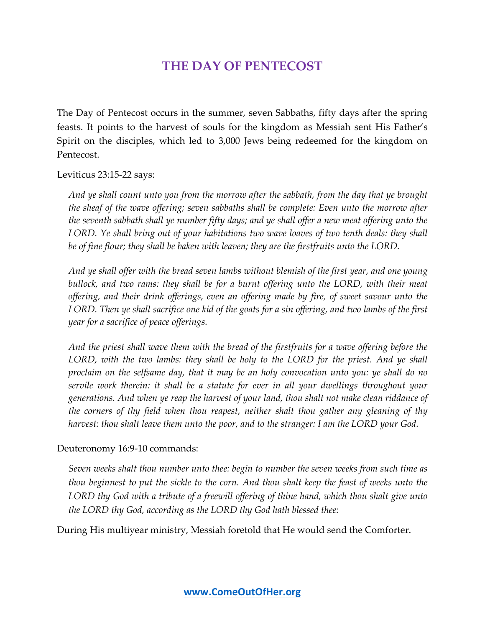## **THE DAY OF PENTECOST**

The Day of Pentecost occurs in the summer, seven Sabbaths, fifty days after the spring feasts. It points to the harvest of souls for the kingdom as Messiah sent His Father's Spirit on the disciples, which led to 3,000 Jews being redeemed for the kingdom on Pentecost.

Leviticus 23:15-22 says:

*And ye shall count unto you from the morrow after the sabbath, from the day that ye brought the sheaf of the wave offering; seven sabbaths shall be complete: Even unto the morrow after the seventh sabbath shall ye number fifty days; and ye shall offer a new meat offering unto the LORD. Ye shall bring out of your habitations two wave loaves of two tenth deals: they shall be of fine flour; they shall be baken with leaven; they are the firstfruits unto the LORD.*

*And ye shall offer with the bread seven lambs without blemish of the first year, and one young bullock, and two rams: they shall be for a burnt offering unto the LORD, with their meat offering, and their drink offerings, even an offering made by fire, of sweet savour unto the LORD. Then ye shall sacrifice one kid of the goats for a sin offering, and two lambs of the first year for a sacrifice of peace offerings.*

*And the priest shall wave them with the bread of the firstfruits for a wave offering before the LORD, with the two lambs: they shall be holy to the LORD for the priest. And ye shall proclaim on the selfsame day, that it may be an holy convocation unto you: ye shall do no servile work therein: it shall be a statute for ever in all your dwellings throughout your generations. And when ye reap the harvest of your land, thou shalt not make clean riddance of the corners of thy field when thou reapest, neither shalt thou gather any gleaning of thy harvest: thou shalt leave them unto the poor, and to the stranger: I am the LORD your God.*

#### Deuteronomy 16:9-10 commands:

*Seven weeks shalt thou number unto thee: begin to number the seven weeks from such time as thou beginnest to put the sickle to the corn. And thou shalt keep the feast of weeks unto the LORD thy God with a tribute of a freewill offering of thine hand, which thou shalt give unto the LORD thy God, according as the LORD thy God hath blessed thee:*

During His multiyear ministry, Messiah foretold that He would send the Comforter.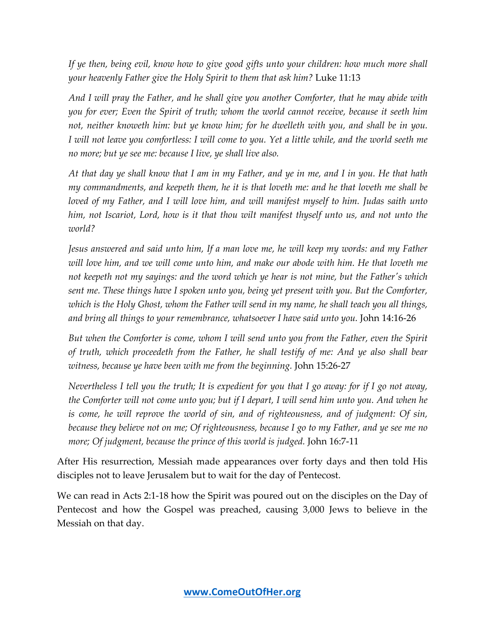*If ye then, being evil, know how to give good gifts unto your children: how much more shall your heavenly Father give the Holy Spirit to them that ask him?* Luke 11:13

*And I will pray the Father, and he shall give you another Comforter, that he may abide with you for ever; Even the Spirit of truth; whom the world cannot receive, because it seeth him not, neither knoweth him: but ye know him; for he dwelleth with you, and shall be in you. I will not leave you comfortless: I will come to you. Yet a little while, and the world seeth me no more; but ye see me: because I live, ye shall live also.* 

*At that day ye shall know that I am in my Father, and ye in me, and I in you. He that hath my commandments, and keepeth them, he it is that loveth me: and he that loveth me shall be loved of my Father, and I will love him, and will manifest myself to him. Judas saith unto him, not Iscariot, Lord, how is it that thou wilt manifest thyself unto us, and not unto the world?*

*Jesus answered and said unto him, If a man love me, he will keep my words: and my Father will love him, and we will come unto him, and make our abode with him. He that loveth me not keepeth not my sayings: and the word which ye hear is not mine, but the Father's which sent me. These things have I spoken unto you, being yet present with you. But the Comforter, which is the Holy Ghost, whom the Father will send in my name, he shall teach you all things, and bring all things to your remembrance, whatsoever I have said unto you.* John 14:16-26

*But when the Comforter is come, whom I will send unto you from the Father, even the Spirit of truth, which proceedeth from the Father, he shall testify of me: And ye also shall bear witness, because ye have been with me from the beginning.* John 15:26-27

*Nevertheless I tell you the truth; It is expedient for you that I go away: for if I go not away, the Comforter will not come unto you; but if I depart, I will send him unto you. And when he is come, he will reprove the world of sin, and of righteousness, and of judgment: Of sin, because they believe not on me; Of righteousness, because I go to my Father, and ye see me no more; Of judgment, because the prince of this world is judged.* John 16:7-11

After His resurrection, Messiah made appearances over forty days and then told His disciples not to leave Jerusalem but to wait for the day of Pentecost.

We can read in Acts 2:1-18 how the Spirit was poured out on the disciples on the Day of Pentecost and how the Gospel was preached, causing 3,000 Jews to believe in the Messiah on that day.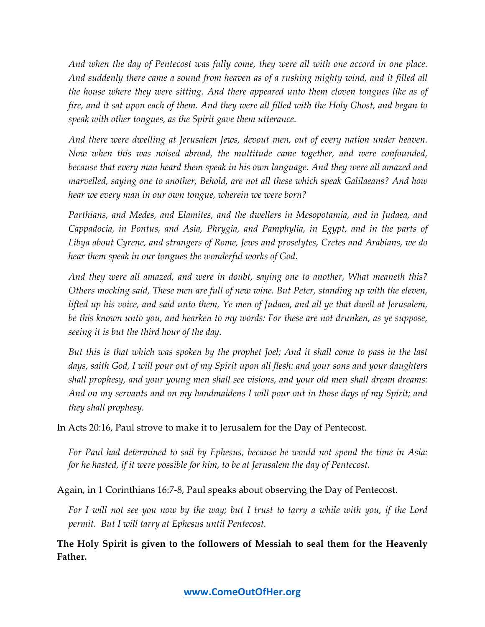*And when the day of Pentecost was fully come, they were all with one accord in one place. And suddenly there came a sound from heaven as of a rushing mighty wind, and it filled all the house where they were sitting. And there appeared unto them cloven tongues like as of fire, and it sat upon each of them. And they were all filled with the Holy Ghost, and began to speak with other tongues, as the Spirit gave them utterance.*

*And there were dwelling at Jerusalem Jews, devout men, out of every nation under heaven. Now when this was noised abroad, the multitude came together, and were confounded, because that every man heard them speak in his own language. And they were all amazed and marvelled, saying one to another, Behold, are not all these which speak Galilaeans? And how hear we every man in our own tongue, wherein we were born?*

*Parthians, and Medes, and Elamites, and the dwellers in Mesopotamia, and in Judaea, and Cappadocia, in Pontus, and Asia, Phrygia, and Pamphylia, in Egypt, and in the parts of Libya about Cyrene, and strangers of Rome, Jews and proselytes, Cretes and Arabians, we do hear them speak in our tongues the wonderful works of God.*

*And they were all amazed, and were in doubt, saying one to another, What meaneth this? Others mocking said, These men are full of new wine. But Peter, standing up with the eleven, lifted up his voice, and said unto them, Ye men of Judaea, and all ye that dwell at Jerusalem, be this known unto you, and hearken to my words: For these are not drunken, as ye suppose, seeing it is but the third hour of the day.*

*But this is that which was spoken by the prophet Joel; And it shall come to pass in the last days, saith God, I will pour out of my Spirit upon all flesh: and your sons and your daughters shall prophesy, and your young men shall see visions, and your old men shall dream dreams: And on my servants and on my handmaidens I will pour out in those days of my Spirit; and they shall prophesy.*

In Acts 20:16, Paul strove to make it to Jerusalem for the Day of Pentecost.

*For Paul had determined to sail by Ephesus, because he would not spend the time in Asia: for he hasted, if it were possible for him, to be at Jerusalem the day of Pentecost.*

Again, in 1 Corinthians 16:7-8, Paul speaks about observing the Day of Pentecost.

*For I will not see you now by the way; but I trust to tarry a while with you, if the Lord permit. But I will tarry at Ephesus until Pentecost.*

**The Holy Spirit is given to the followers of Messiah to seal them for the Heavenly Father.**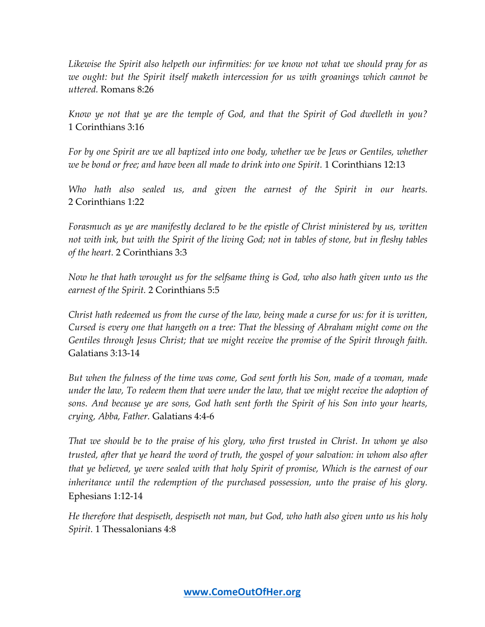*Likewise the Spirit also helpeth our infirmities: for we know not what we should pray for as we ought: but the Spirit itself maketh intercession for us with groanings which cannot be uttered.* Romans 8:26

*Know ye not that ye are the temple of God, and that the Spirit of God dwelleth in you?* 1 Corinthians 3:16

*For by one Spirit are we all baptized into one body, whether we be Jews or Gentiles, whether we be bond or free; and have been all made to drink into one Spirit.* 1 Corinthians 12:13

*Who hath also sealed us, and given the earnest of the Spirit in our hearts.* 2 Corinthians 1:22

*Forasmuch as ye are manifestly declared to be the epistle of Christ ministered by us, written not with ink, but with the Spirit of the living God; not in tables of stone, but in fleshy tables of the heart.* 2 Corinthians 3:3

*Now he that hath wrought us for the selfsame thing is God, who also hath given unto us the earnest of the Spirit.* 2 Corinthians 5:5

*Christ hath redeemed us from the curse of the law, being made a curse for us: for it is written, Cursed is every one that hangeth on a tree: That the blessing of Abraham might come on the Gentiles through Jesus Christ; that we might receive the promise of the Spirit through faith.* Galatians 3:13-14

*But when the fulness of the time was come, God sent forth his Son, made of a woman, made under the law, To redeem them that were under the law, that we might receive the adoption of sons. And because ye are sons, God hath sent forth the Spirit of his Son into your hearts, crying, Abba, Father.* Galatians 4:4-6

*That we should be to the praise of his glory, who first trusted in Christ. In whom ye also trusted, after that ye heard the word of truth, the gospel of your salvation: in whom also after that ye believed, ye were sealed with that holy Spirit of promise, Which is the earnest of our inheritance until the redemption of the purchased possession, unto the praise of his glory.* Ephesians 1:12-14

*He therefore that despiseth, despiseth not man, but God, who hath also given unto us his holy Spirit.* 1 Thessalonians 4:8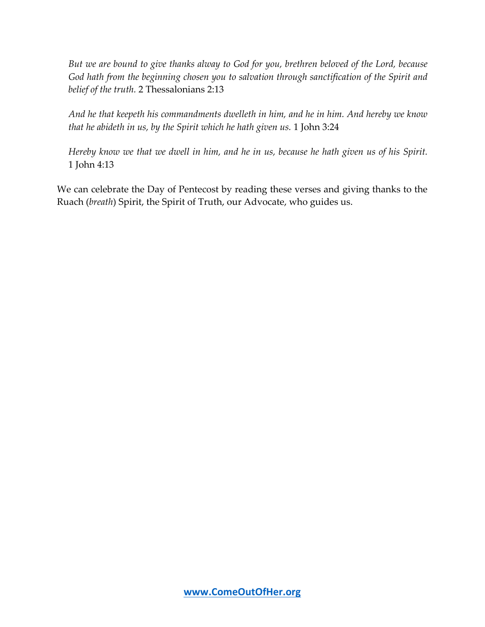*But we are bound to give thanks alway to God for you, brethren beloved of the Lord, because God hath from the beginning chosen you to salvation through sanctification of the Spirit and belief of the truth.* 2 Thessalonians 2:13

*And he that keepeth his commandments dwelleth in him, and he in him. And hereby we know that he abideth in us, by the Spirit which he hath given us.* 1 John 3:24

*Hereby know we that we dwell in him, and he in us, because he hath given us of his Spirit.* 1 John 4:13

We can celebrate the Day of Pentecost by reading these verses and giving thanks to the Ruach (*breath*) Spirit, the Spirit of Truth, our Advocate, who guides us.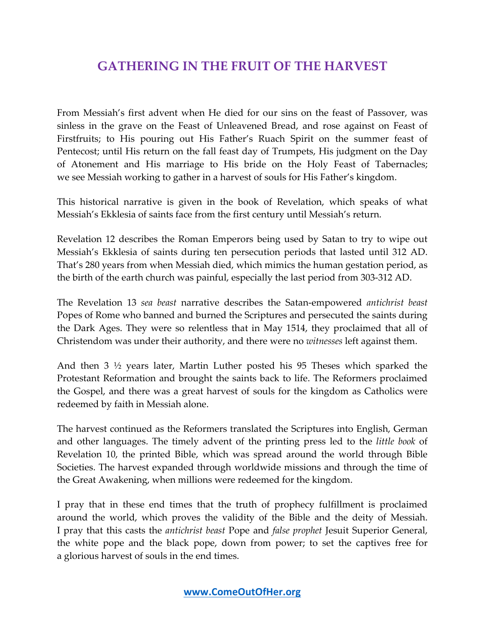## **GATHERING IN THE FRUIT OF THE HARVEST**

From Messiah's first advent when He died for our sins on the feast of Passover, was sinless in the grave on the Feast of Unleavened Bread, and rose against on Feast of Firstfruits; to His pouring out His Father's Ruach Spirit on the summer feast of Pentecost; until His return on the fall feast day of Trumpets, His judgment on the Day of Atonement and His marriage to His bride on the Holy Feast of Tabernacles; we see Messiah working to gather in a harvest of souls for His Father's kingdom.

This historical narrative is given in the book of Revelation, which speaks of what Messiah's Ekklesia of saints face from the first century until Messiah's return.

Revelation 12 describes the Roman Emperors being used by Satan to try to wipe out Messiah's Ekklesia of saints during ten persecution periods that lasted until 312 AD. That's 280 years from when Messiah died, which mimics the human gestation period, as the birth of the earth church was painful, especially the last period from 303-312 AD.

The Revelation 13 *sea beast* narrative describes the Satan-empowered *antichrist beast* Popes of Rome who banned and burned the Scriptures and persecuted the saints during the Dark Ages. They were so relentless that in May 1514, they proclaimed that all of Christendom was under their authority, and there were no *witnesses* left against them.

And then 3 ½ years later, Martin Luther posted his 95 Theses which sparked the Protestant Reformation and brought the saints back to life. The Reformers proclaimed the Gospel, and there was a great harvest of souls for the kingdom as Catholics were redeemed by faith in Messiah alone.

The harvest continued as the Reformers translated the Scriptures into English, German and other languages. The timely advent of the printing press led to the *little book* of Revelation 10, the printed Bible, which was spread around the world through Bible Societies. The harvest expanded through worldwide missions and through the time of the Great Awakening, when millions were redeemed for the kingdom.

I pray that in these end times that the truth of prophecy fulfillment is proclaimed around the world, which proves the validity of the Bible and the deity of Messiah. I pray that this casts the *antichrist beast* Pope and *false prophet* Jesuit Superior General, the white pope and the black pope, down from power; to set the captives free for a glorious harvest of souls in the end times.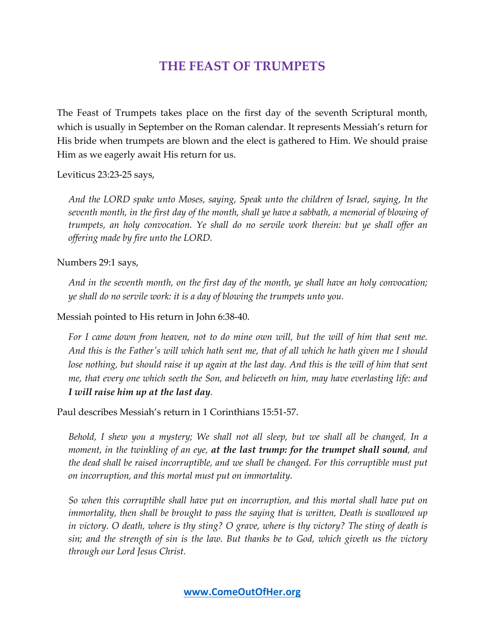## **THE FEAST OF TRUMPETS**

The Feast of Trumpets takes place on the first day of the seventh Scriptural month, which is usually in September on the Roman calendar. It represents Messiah's return for His bride when trumpets are blown and the elect is gathered to Him. We should praise Him as we eagerly await His return for us.

Leviticus 23:23-25 says,

*And the LORD spake unto Moses, saying, Speak unto the children of Israel, saying, In the seventh month, in the first day of the month, shall ye have a sabbath, a memorial of blowing of trumpets, an holy convocation. Ye shall do no servile work therein: but ye shall offer an offering made by fire unto the LORD.*

Numbers 29:1 says,

*And in the seventh month, on the first day of the month, ye shall have an holy convocation; ye shall do no servile work: it is a day of blowing the trumpets unto you.*

Messiah pointed to His return in John 6:38-40.

*For I came down from heaven, not to do mine own will, but the will of him that sent me. And this is the Father's will which hath sent me, that of all which he hath given me I should lose nothing, but should raise it up again at the last day. And this is the will of him that sent me, that every one which seeth the Son, and believeth on him, may have everlasting life: and I will raise him up at the last day.*

Paul describes Messiah's return in 1 Corinthians 15:51-57.

*Behold, I shew you a mystery; We shall not all sleep, but we shall all be changed, In a moment, in the twinkling of an eye, at the last trump: for the trumpet shall sound, and the dead shall be raised incorruptible, and we shall be changed. For this corruptible must put on incorruption, and this mortal must put on immortality.*

*So when this corruptible shall have put on incorruption, and this mortal shall have put on immortality, then shall be brought to pass the saying that is written, Death is swallowed up in victory. O death, where is thy sting? O grave, where is thy victory? The sting of death is sin; and the strength of sin is the law. But thanks be to God, which giveth us the victory through our Lord Jesus Christ.*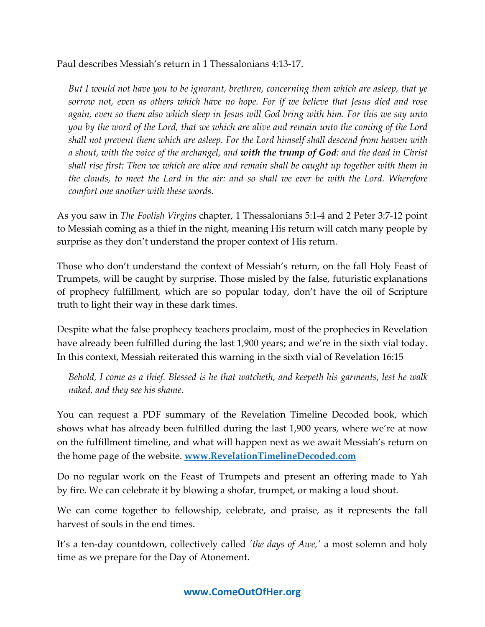Paul describes Messiah's return in 1 Thessalonians 4:13-17.

*But I would not have you to be ignorant, brethren, concerning them which are asleep, that ye sorrow not, even as others which have no hope. For if we believe that Jesus died and rose again, even so them also which sleep in Jesus will God bring with him. For this we say unto you by the word of the Lord, that we which are alive and remain unto the coming of the Lord shall not prevent them which are asleep. For the Lord himself shall descend from heaven with a shout, with the voice of the archangel, and with the trump of God: and the dead in Christ shall rise first: Then we which are alive and remain shall be caught up together with them in the clouds, to meet the Lord in the air: and so shall we ever be with the Lord. Wherefore comfort one another with these words.*

As you saw in *The Foolish Virgins* chapter, 1 Thessalonians 5:1-4 and 2 Peter 3:7-12 point to Messiah coming as a thief in the night, meaning His return will catch many people by surprise as they don't understand the proper context of His return.

Those who don't understand the context of Messiah's return, on the fall Holy Feast of Trumpets, will be caught by surprise. Those misled by the false, futuristic explanations of prophecy fulfillment, which are so popular today, don't have the oil of Scripture truth to light their way in these dark times.

Despite what the false prophecy teachers proclaim, most of the prophecies in Revelation have already been fulfilled during the last 1,900 years; and we're in the sixth vial today. In this context, Messiah reiterated this warning in the sixth vial of Revelation 16:15

*Behold, I come as a thief. Blessed is he that watcheth, and keepeth his garments, lest he walk naked, and they see his shame.*

You can request a PDF summary of the Revelation Timeline Decoded book, which shows what has already been fulfilled during the last 1,900 years, where we're at now on the fulfillment timeline, and what will happen next as we await Messiah's return on the home page of the website. **www.RevelationTimelineDecoded.com**

Do no regular work on the Feast of Trumpets and present an offering made to Yah by fire. We can celebrate it by blowing a shofar, trumpet, or making a loud shout.

We can come together to fellowship, celebrate, and praise, as it represents the fall harvest of souls in the end times.

It's a ten-day countdown, collectively called *'the days of Awe,'* a most solemn and holy time as we prepare for the Day of Atonement.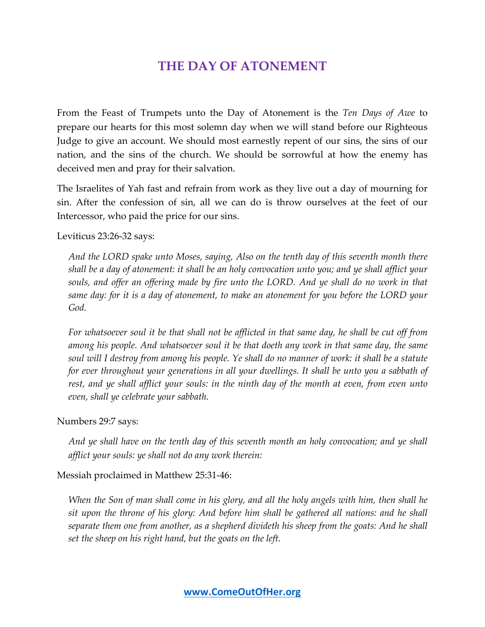## **THE DAY OF ATONEMENT**

From the Feast of Trumpets unto the Day of Atonement is the *Ten Days of Awe* to prepare our hearts for this most solemn day when we will stand before our Righteous Judge to give an account. We should most earnestly repent of our sins, the sins of our nation, and the sins of the church. We should be sorrowful at how the enemy has deceived men and pray for their salvation.

The Israelites of Yah fast and refrain from work as they live out a day of mourning for sin. After the confession of sin, all we can do is throw ourselves at the feet of our Intercessor, who paid the price for our sins.

#### Leviticus 23:26-32 says:

*And the LORD spake unto Moses, saying, Also on the tenth day of this seventh month there shall be a day of atonement: it shall be an holy convocation unto you; and ye shall afflict your souls, and offer an offering made by fire unto the LORD. And ye shall do no work in that same day: for it is a day of atonement, to make an atonement for you before the LORD your God.*

*For whatsoever soul it be that shall not be afflicted in that same day, he shall be cut off from among his people. And whatsoever soul it be that doeth any work in that same day, the same soul will I destroy from among his people. Ye shall do no manner of work: it shall be a statute for ever throughout your generations in all your dwellings. It shall be unto you a sabbath of rest, and ye shall afflict your souls: in the ninth day of the month at even, from even unto even, shall ye celebrate your sabbath.* 

#### Numbers 29:7 says:

*And ye shall have on the tenth day of this seventh month an holy convocation; and ye shall afflict your souls: ye shall not do any work therein:*

#### Messiah proclaimed in Matthew 25:31-46:

*When the Son of man shall come in his glory, and all the holy angels with him, then shall he sit upon the throne of his glory: And before him shall be gathered all nations: and he shall separate them one from another, as a shepherd divideth his sheep from the goats: And he shall set the sheep on his right hand, but the goats on the left.*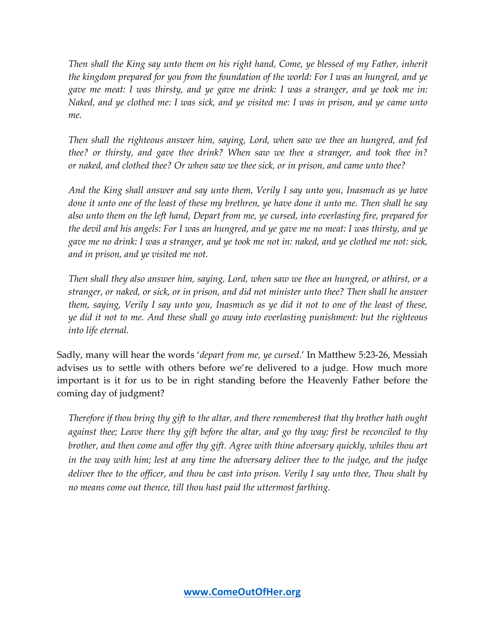*Then shall the King say unto them on his right hand, Come, ye blessed of my Father, inherit the kingdom prepared for you from the foundation of the world: For I was an hungred, and ye gave me meat: I was thirsty, and ye gave me drink: I was a stranger, and ye took me in: Naked, and ye clothed me: I was sick, and ye visited me: I was in prison, and ye came unto me.*

*Then shall the righteous answer him, saying, Lord, when saw we thee an hungred, and fed thee? or thirsty, and gave thee drink? When saw we thee a stranger, and took thee in? or naked, and clothed thee? Or when saw we thee sick, or in prison, and came unto thee?*

*And the King shall answer and say unto them, Verily I say unto you, Inasmuch as ye have done it unto one of the least of these my brethren, ye have done it unto me. Then shall he say also unto them on the left hand, Depart from me, ye cursed, into everlasting fire, prepared for the devil and his angels: For I was an hungred, and ye gave me no meat: I was thirsty, and ye gave me no drink: I was a stranger, and ye took me not in: naked, and ye clothed me not: sick, and in prison, and ye visited me not.*

*Then shall they also answer him, saying, Lord, when saw we thee an hungred, or athirst, or a stranger, or naked, or sick, or in prison, and did not minister unto thee? Then shall he answer them, saying, Verily I say unto you, Inasmuch as ye did it not to one of the least of these, ye did it not to me. And these shall go away into everlasting punishment: but the righteous into life eternal.*

Sadly, many will hear the words '*depart from me, ye cursed*.' In Matthew 5:23-26, Messiah advises us to settle with others before we're delivered to a judge. How much more important is it for us to be in right standing before the Heavenly Father before the coming day of judgment?

*Therefore if thou bring thy gift to the altar, and there rememberest that thy brother hath ought against thee; Leave there thy gift before the altar, and go thy way; first be reconciled to thy brother, and then come and offer thy gift. Agree with thine adversary quickly, whiles thou art in the way with him; lest at any time the adversary deliver thee to the judge, and the judge deliver thee to the officer, and thou be cast into prison. Verily I say unto thee, Thou shalt by no means come out thence, till thou hast paid the uttermost farthing.*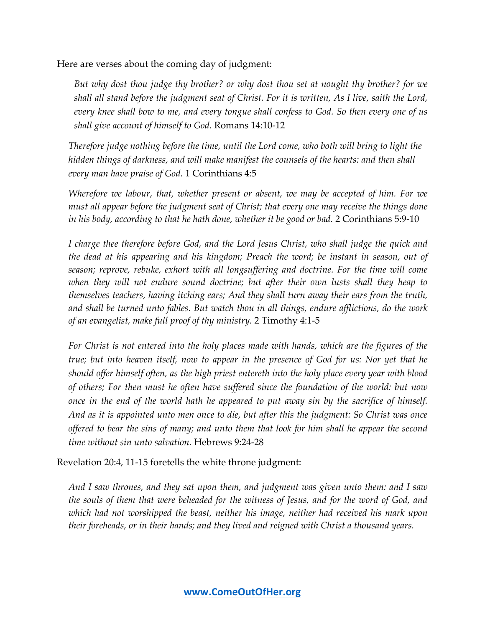Here are verses about the coming day of judgment:

*But why dost thou judge thy brother? or why dost thou set at nought thy brother? for we shall all stand before the judgment seat of Christ. For it is written, As I live, saith the Lord, every knee shall bow to me, and every tongue shall confess to God. So then every one of us shall give account of himself to God.* Romans 14:10-12

*Therefore judge nothing before the time, until the Lord come, who both will bring to light the hidden things of darkness, and will make manifest the counsels of the hearts: and then shall every man have praise of God.* 1 Corinthians 4:5

*Wherefore we labour, that, whether present or absent, we may be accepted of him. For we must all appear before the judgment seat of Christ; that every one may receive the things done in his body, according to that he hath done, whether it be good or bad.* 2 Corinthians 5:9-10

*I charge thee therefore before God, and the Lord Jesus Christ, who shall judge the quick and the dead at his appearing and his kingdom; Preach the word; be instant in season, out of season; reprove, rebuke, exhort with all longsuffering and doctrine. For the time will come when they will not endure sound doctrine; but after their own lusts shall they heap to themselves teachers, having itching ears; And they shall turn away their ears from the truth, and shall be turned unto fables. But watch thou in all things, endure afflictions, do the work of an evangelist, make full proof of thy ministry.* 2 Timothy 4:1-5

*For Christ is not entered into the holy places made with hands, which are the figures of the true; but into heaven itself, now to appear in the presence of God for us: Nor yet that he should offer himself often, as the high priest entereth into the holy place every year with blood of others; For then must he often have suffered since the foundation of the world: but now once in the end of the world hath he appeared to put away sin by the sacrifice of himself. And as it is appointed unto men once to die, but after this the judgment: So Christ was once offered to bear the sins of many; and unto them that look for him shall he appear the second time without sin unto salvation.* Hebrews 9:24-28

Revelation 20:4, 11-15 foretells the white throne judgment:

*And I saw thrones, and they sat upon them, and judgment was given unto them: and I saw the souls of them that were beheaded for the witness of Jesus, and for the word of God, and which had not worshipped the beast, neither his image, neither had received his mark upon their foreheads, or in their hands; and they lived and reigned with Christ a thousand years.*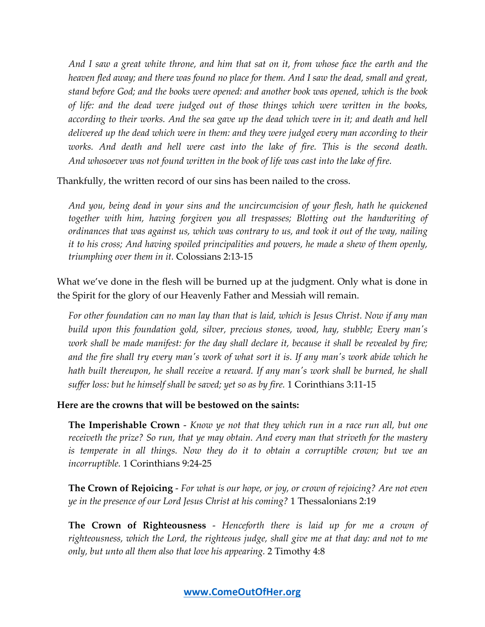*And I saw a great white throne, and him that sat on it, from whose face the earth and the heaven fled away; and there was found no place for them. And I saw the dead, small and great, stand before God; and the books were opened: and another book was opened, which is the book of life: and the dead were judged out of those things which were written in the books, according to their works. And the sea gave up the dead which were in it; and death and hell delivered up the dead which were in them: and they were judged every man according to their*  works. And death and hell were cast into the lake of fire. This is the second death. *And whosoever was not found written in the book of life was cast into the lake of fire.*

Thankfully, the written record of our sins has been nailed to the cross.

*And you, being dead in your sins and the uncircumcision of your flesh, hath he quickened together with him, having forgiven you all trespasses; Blotting out the handwriting of ordinances that was against us, which was contrary to us, and took it out of the way, nailing it to his cross; And having spoiled principalities and powers, he made a shew of them openly, triumphing over them in it.* Colossians 2:13-15

What we've done in the flesh will be burned up at the judgment. Only what is done in the Spirit for the glory of our Heavenly Father and Messiah will remain.

*For other foundation can no man lay than that is laid, which is Jesus Christ. Now if any man build upon this foundation gold, silver, precious stones, wood, hay, stubble; Every man's work shall be made manifest: for the day shall declare it, because it shall be revealed by fire; and the fire shall try every man's work of what sort it is. If any man's work abide which he hath built thereupon, he shall receive a reward. If any man's work shall be burned, he shall suffer loss: but he himself shall be saved; yet so as by fire.* 1 Corinthians 3:11-15

**Here are the crowns that will be bestowed on the saints:**

**The Imperishable Crown** - *Know ye not that they which run in a race run all, but one receiveth the prize? So run, that ye may obtain. And every man that striveth for the mastery*  is temperate in all things. Now they do it to obtain a corruptible crown; but we an *incorruptible.* 1 Corinthians 9:24-25

**The Crown of Rejoicing** - *For what is our hope, or joy, or crown of rejoicing? Are not even ye in the presence of our Lord Jesus Christ at his coming?* 1 Thessalonians 2:19

**The Crown of Righteousness** - *Henceforth there is laid up for me a crown of righteousness, which the Lord, the righteous judge, shall give me at that day: and not to me only, but unto all them also that love his appearing.* 2 Timothy 4:8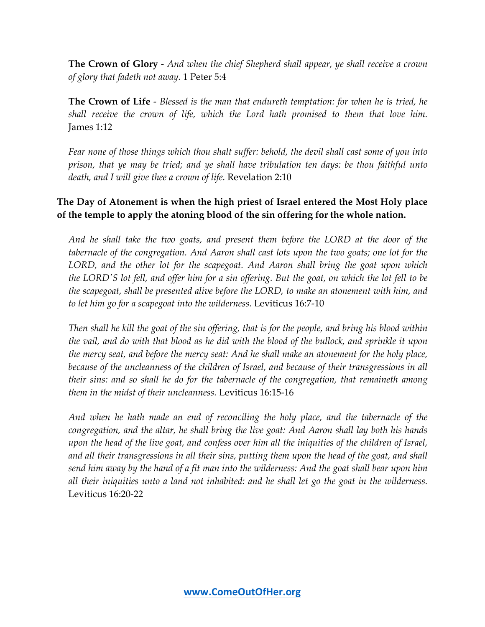**The Crown of Glory** - *And when the chief Shepherd shall appear, ye shall receive a crown of glory that fadeth not away.* 1 Peter 5:4

**The Crown of Life** - *Blessed is the man that endureth temptation: for when he is tried, he shall receive the crown of life, which the Lord hath promised to them that love him.* James 1:12

*Fear none of those things which thou shalt suffer: behold, the devil shall cast some of you into prison, that ye may be tried; and ye shall have tribulation ten days: be thou faithful unto death, and I will give thee a crown of life.* Revelation 2:10

## **The Day of Atonement is when the high priest of Israel entered the Most Holy place of the temple to apply the atoning blood of the sin offering for the whole nation.**

*And he shall take the two goats, and present them before the LORD at the door of the tabernacle of the congregation. And Aaron shall cast lots upon the two goats; one lot for the LORD, and the other lot for the scapegoat. And Aaron shall bring the goat upon which the LORD'S lot fell, and offer him for a sin offering. But the goat, on which the lot fell to be the scapegoat, shall be presented alive before the LORD, to make an atonement with him, and to let him go for a scapegoat into the wilderness.* Leviticus 16:7-10

*Then shall he kill the goat of the sin offering, that is for the people, and bring his blood within the vail, and do with that blood as he did with the blood of the bullock, and sprinkle it upon the mercy seat, and before the mercy seat: And he shall make an atonement for the holy place, because of the uncleanness of the children of Israel, and because of their transgressions in all their sins: and so shall he do for the tabernacle of the congregation, that remaineth among them in the midst of their uncleanness.* Leviticus 16:15-16

*And when he hath made an end of reconciling the holy place, and the tabernacle of the congregation, and the altar, he shall bring the live goat: And Aaron shall lay both his hands upon the head of the live goat, and confess over him all the iniquities of the children of Israel, and all their transgressions in all their sins, putting them upon the head of the goat, and shall send him away by the hand of a fit man into the wilderness: And the goat shall bear upon him all their iniquities unto a land not inhabited: and he shall let go the goat in the wilderness.* Leviticus 16:20-22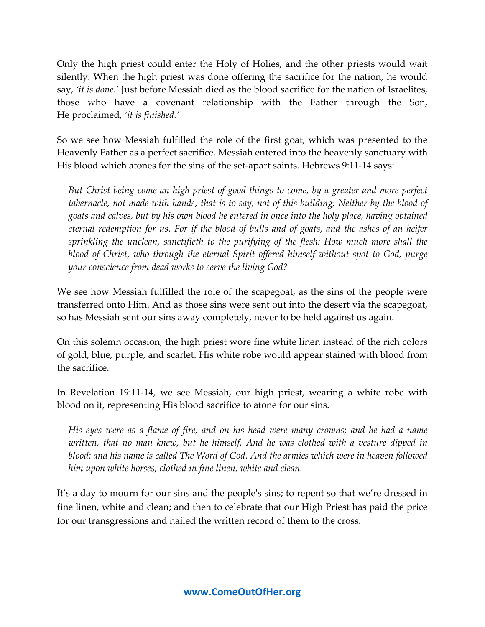Only the high priest could enter the Holy of Holies, and the other priests would wait silently. When the high priest was done offering the sacrifice for the nation, he would say, *'it is done.'* Just before Messiah died as the blood sacrifice for the nation of Israelites, those who have a covenant relationship with the Father through the Son, He proclaimed, *'it is finished.'*

So we see how Messiah fulfilled the role of the first goat, which was presented to the Heavenly Father as a perfect sacrifice. Messiah entered into the heavenly sanctuary with His blood which atones for the sins of the set-apart saints. Hebrews 9:11-14 says:

*But Christ being come an high priest of good things to come, by a greater and more perfect tabernacle, not made with hands, that is to say, not of this building; Neither by the blood of goats and calves, but by his own blood he entered in once into the holy place, having obtained eternal redemption for us. For if the blood of bulls and of goats, and the ashes of an heifer sprinkling the unclean, sanctifieth to the purifying of the flesh: How much more shall the blood of Christ, who through the eternal Spirit offered himself without spot to God, purge your conscience from dead works to serve the living God?*

We see how Messiah fulfilled the role of the scapegoat, as the sins of the people were transferred onto Him. And as those sins were sent out into the desert via the scapegoat, so has Messiah sent our sins away completely, never to be held against us again.

On this solemn occasion, the high priest wore fine white linen instead of the rich colors of gold, blue, purple, and scarlet. His white robe would appear stained with blood from the sacrifice.

In Revelation 19:11-14, we see Messiah, our high priest, wearing a white robe with blood on it, representing His blood sacrifice to atone for our sins.

*His eyes were as a flame of fire, and on his head were many crowns; and he had a name written, that no man knew, but he himself. And he was clothed with a vesture dipped in blood: and his name is called The Word of God. And the armies which were in heaven followed him upon white horses, clothed in fine linen, white and clean.*

It's a day to mourn for our sins and the people's sins; to repent so that we're dressed in fine linen, white and clean; and then to celebrate that our High Priest has paid the price for our transgressions and nailed the written record of them to the cross.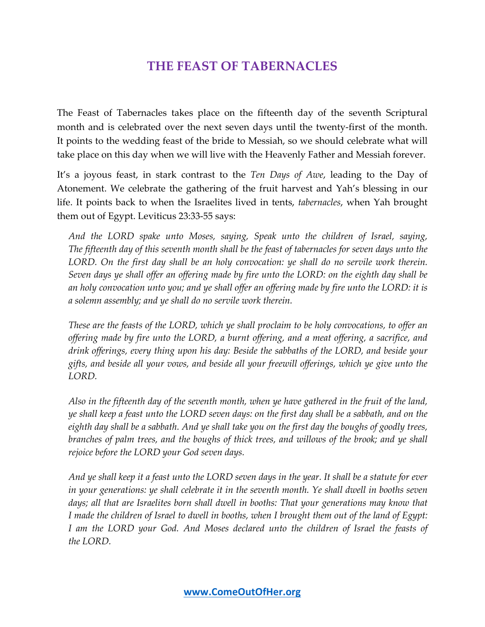## **THE FEAST OF TABERNACLES**

The Feast of Tabernacles takes place on the fifteenth day of the seventh Scriptural month and is celebrated over the next seven days until the twenty-first of the month. It points to the wedding feast of the bride to Messiah, so we should celebrate what will take place on this day when we will live with the Heavenly Father and Messiah forever.

It's a joyous feast, in stark contrast to the *Ten Days of Awe*, leading to the Day of Atonement. We celebrate the gathering of the fruit harvest and Yah's blessing in our life. It points back to when the Israelites lived in tents, *tabernacles*, when Yah brought them out of Egypt. Leviticus 23:33-55 says:

*And the LORD spake unto Moses, saying, Speak unto the children of Israel, saying, The fifteenth day of this seventh month shall be the feast of tabernacles for seven days unto the LORD. On the first day shall be an holy convocation: ye shall do no servile work therein. Seven days ye shall offer an offering made by fire unto the LORD: on the eighth day shall be an holy convocation unto you; and ye shall offer an offering made by fire unto the LORD: it is a solemn assembly; and ye shall do no servile work therein.*

*These are the feasts of the LORD, which ye shall proclaim to be holy convocations, to offer an offering made by fire unto the LORD, a burnt offering, and a meat offering, a sacrifice, and drink offerings, every thing upon his day: Beside the sabbaths of the LORD, and beside your gifts, and beside all your vows, and beside all your freewill offerings, which ye give unto the LORD.*

*Also in the fifteenth day of the seventh month, when ye have gathered in the fruit of the land, ye shall keep a feast unto the LORD seven days: on the first day shall be a sabbath, and on the eighth day shall be a sabbath. And ye shall take you on the first day the boughs of goodly trees, branches of palm trees, and the boughs of thick trees, and willows of the brook; and ye shall rejoice before the LORD your God seven days.*

*And ye shall keep it a feast unto the LORD seven days in the year. It shall be a statute for ever in your generations: ye shall celebrate it in the seventh month. Ye shall dwell in booths seven days; all that are Israelites born shall dwell in booths: That your generations may know that I made the children of Israel to dwell in booths, when I brought them out of the land of Egypt: I am the LORD your God. And Moses declared unto the children of Israel the feasts of the LORD.*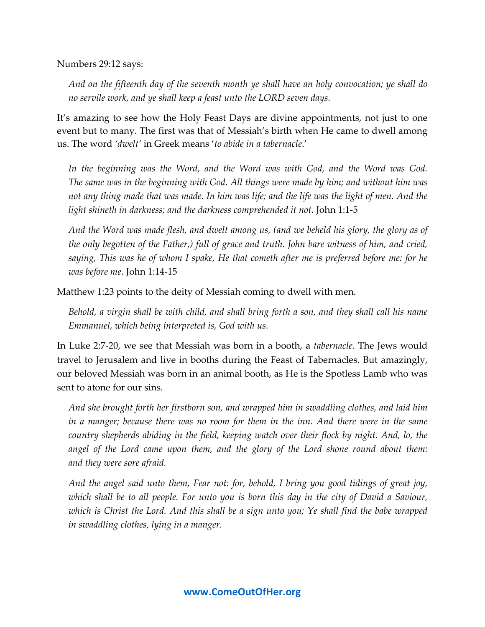Numbers 29:12 says:

*And on the fifteenth day of the seventh month ye shall have an holy convocation; ye shall do no servile work, and ye shall keep a feast unto the LORD seven days.*

It's amazing to see how the Holy Feast Days are divine appointments, not just to one event but to many. The first was that of Messiah's birth when He came to dwell among us. The word *'dwelt'* in Greek means '*to abide in a tabernacle*.'

In the beginning was the Word, and the Word was with God, and the Word was God. *The same was in the beginning with God. All things were made by him; and without him was not any thing made that was made. In him was life; and the life was the light of men. And the light shineth in darkness; and the darkness comprehended it not.* John 1:1-5

*And the Word was made flesh, and dwelt among us, (and we beheld his glory, the glory as of the only begotten of the Father,) full of grace and truth. John bare witness of him, and cried, saying, This was he of whom I spake, He that cometh after me is preferred before me: for he was before me.* John 1:14-15

Matthew 1:23 points to the deity of Messiah coming to dwell with men.

*Behold, a virgin shall be with child, and shall bring forth a son, and they shall call his name Emmanuel, which being interpreted is, God with us.*

In Luke 2:7-20, we see that Messiah was born in a booth, a *tabernacle*. The Jews would travel to Jerusalem and live in booths during the Feast of Tabernacles. But amazingly, our beloved Messiah was born in an animal booth, as He is the Spotless Lamb who was sent to atone for our sins.

*And she brought forth her firstborn son, and wrapped him in swaddling clothes, and laid him in a manger; because there was no room for them in the inn. And there were in the same country shepherds abiding in the field, keeping watch over their flock by night. And, lo, the angel of the Lord came upon them, and the glory of the Lord shone round about them: and they were sore afraid.*

*And the angel said unto them, Fear not: for, behold, I bring you good tidings of great joy, which shall be to all people. For unto you is born this day in the city of David a Saviour, which is Christ the Lord. And this shall be a sign unto you; Ye shall find the babe wrapped in swaddling clothes, lying in a manger.*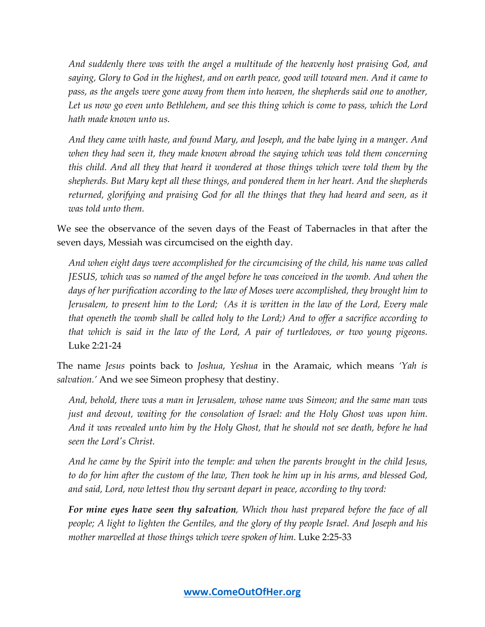*And suddenly there was with the angel a multitude of the heavenly host praising God, and saying, Glory to God in the highest, and on earth peace, good will toward men. And it came to pass, as the angels were gone away from them into heaven, the shepherds said one to another,*  Let us now go even unto Bethlehem, and see this thing which is come to pass, which the Lord *hath made known unto us.*

*And they came with haste, and found Mary, and Joseph, and the babe lying in a manger. And when they had seen it, they made known abroad the saying which was told them concerning this child. And all they that heard it wondered at those things which were told them by the shepherds. But Mary kept all these things, and pondered them in her heart. And the shepherds returned, glorifying and praising God for all the things that they had heard and seen, as it was told unto them.*

We see the observance of the seven days of the Feast of Tabernacles in that after the seven days, Messiah was circumcised on the eighth day.

*And when eight days were accomplished for the circumcising of the child, his name was called JESUS, which was so named of the angel before he was conceived in the womb. And when the days of her purification according to the law of Moses were accomplished, they brought him to Jerusalem, to present him to the Lord; (As it is written in the law of the Lord, Every male that openeth the womb shall be called holy to the Lord;) And to offer a sacrifice according to that which is said in the law of the Lord, A pair of turtledoves, or two young pigeons.* Luke 2:21-24

The name *Jesus* points back to *Joshua*, *Yeshua* in the Aramaic, which means *'Yah is salvation.'* And we see Simeon prophesy that destiny.

*And, behold, there was a man in Jerusalem, whose name was Simeon; and the same man was just and devout, waiting for the consolation of Israel: and the Holy Ghost was upon him. And it was revealed unto him by the Holy Ghost, that he should not see death, before he had seen the Lord's Christ.*

*And he came by the Spirit into the temple: and when the parents brought in the child Jesus, to do for him after the custom of the law, Then took he him up in his arms, and blessed God, and said, Lord, now lettest thou thy servant depart in peace, according to thy word:*

*For mine eyes have seen thy salvation, Which thou hast prepared before the face of all people; A light to lighten the Gentiles, and the glory of thy people Israel. And Joseph and his mother marvelled at those things which were spoken of him.* Luke 2:25-33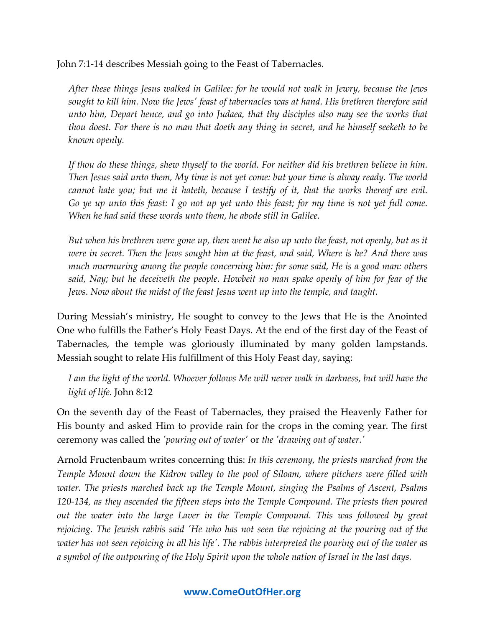John 7:1-14 describes Messiah going to the Feast of Tabernacles.

*After these things Jesus walked in Galilee: for he would not walk in Jewry, because the Jews sought to kill him. Now the Jews' feast of tabernacles was at hand. His brethren therefore said unto him, Depart hence, and go into Judaea, that thy disciples also may see the works that thou doest. For there is no man that doeth any thing in secret, and he himself seeketh to be known openly.* 

*If thou do these things, shew thyself to the world. For neither did his brethren believe in him. Then Jesus said unto them, My time is not yet come: but your time is alway ready. The world cannot hate you; but me it hateth, because I testify of it, that the works thereof are evil. Go ye up unto this feast: I go not up yet unto this feast; for my time is not yet full come. When he had said these words unto them, he abode still in Galilee.* 

*But when his brethren were gone up, then went he also up unto the feast, not openly, but as it were in secret. Then the Jews sought him at the feast, and said, Where is he? And there was much murmuring among the people concerning him: for some said, He is a good man: others said, Nay; but he deceiveth the people. Howbeit no man spake openly of him for fear of the Jews. Now about the midst of the feast Jesus went up into the temple, and taught.*

During Messiah's ministry, He sought to convey to the Jews that He is the Anointed One who fulfills the Father's Holy Feast Days. At the end of the first day of the Feast of Tabernacles, the temple was gloriously illuminated by many golden lampstands. Messiah sought to relate His fulfillment of this Holy Feast day, saying:

*I am the light of the world. Whoever follows Me will never walk in darkness, but will have the light of life.* John 8:12

On the seventh day of the Feast of Tabernacles, they praised the Heavenly Father for His bounty and asked Him to provide rain for the crops in the coming year. The first ceremony was called the *'pouring out of water'* or *the 'drawing out of water.'*

Arnold Fructenbaum writes concerning this: *In this ceremony, the priests marched from the Temple Mount down the Kidron valley to the pool of Siloam, where pitchers were filled with water. The priests marched back up the Temple Mount, singing the Psalms of Ascent, Psalms 120-134, as they ascended the fifteen steps into the Temple Compound. The priests then poured*  out the water into the large Laver in the Temple Compound. This was followed by great *rejoicing. The Jewish rabbis said 'He who has not seen the rejoicing at the pouring out of the water has not seen rejoicing in all his life'. The rabbis interpreted the pouring out of the water as a symbol of the outpouring of the Holy Spirit upon the whole nation of Israel in the last days.*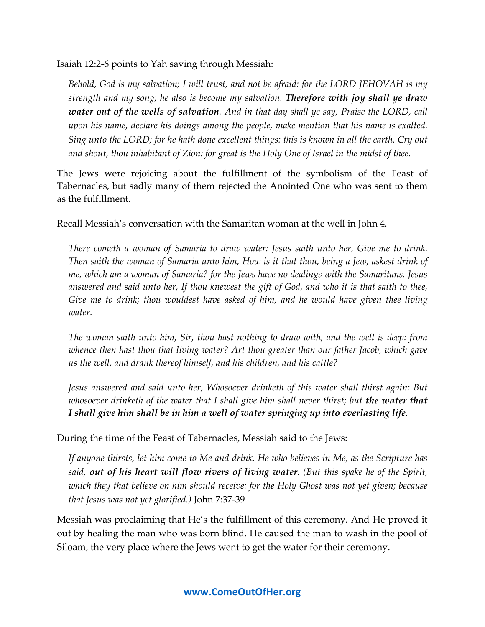Isaiah 12:2-6 points to Yah saving through Messiah:

*Behold, God is my salvation; I will trust, and not be afraid: for the LORD JEHOVAH is my strength and my song; he also is become my salvation. Therefore with joy shall ye draw water out of the wells of salvation. And in that day shall ye say, Praise the LORD, call upon his name, declare his doings among the people, make mention that his name is exalted. Sing unto the LORD; for he hath done excellent things: this is known in all the earth. Cry out and shout, thou inhabitant of Zion: for great is the Holy One of Israel in the midst of thee.*

The Jews were rejoicing about the fulfillment of the symbolism of the Feast of Tabernacles, but sadly many of them rejected the Anointed One who was sent to them as the fulfillment.

Recall Messiah's conversation with the Samaritan woman at the well in John 4.

*There cometh a woman of Samaria to draw water: Jesus saith unto her, Give me to drink. Then saith the woman of Samaria unto him, How is it that thou, being a Jew, askest drink of me, which am a woman of Samaria? for the Jews have no dealings with the Samaritans. Jesus answered and said unto her, If thou knewest the gift of God, and who it is that saith to thee, Give me to drink; thou wouldest have asked of him, and he would have given thee living water.*

*The woman saith unto him, Sir, thou hast nothing to draw with, and the well is deep: from whence then hast thou that living water? Art thou greater than our father Jacob, which gave us the well, and drank thereof himself, and his children, and his cattle?*

*Jesus answered and said unto her, Whosoever drinketh of this water shall thirst again: But whosoever drinketh of the water that I shall give him shall never thirst; but the water that I shall give him shall be in him a well of water springing up into everlasting life.*

During the time of the Feast of Tabernacles, Messiah said to the Jews:

*If anyone thirsts, let him come to Me and drink. He who believes in Me, as the Scripture has said, out of his heart will flow rivers of living water. (But this spake he of the Spirit, which they that believe on him should receive: for the Holy Ghost was not yet given; because that Jesus was not yet glorified.)* John 7:37-39

Messiah was proclaiming that He's the fulfillment of this ceremony. And He proved it out by healing the man who was born blind. He caused the man to wash in the pool of Siloam, the very place where the Jews went to get the water for their ceremony.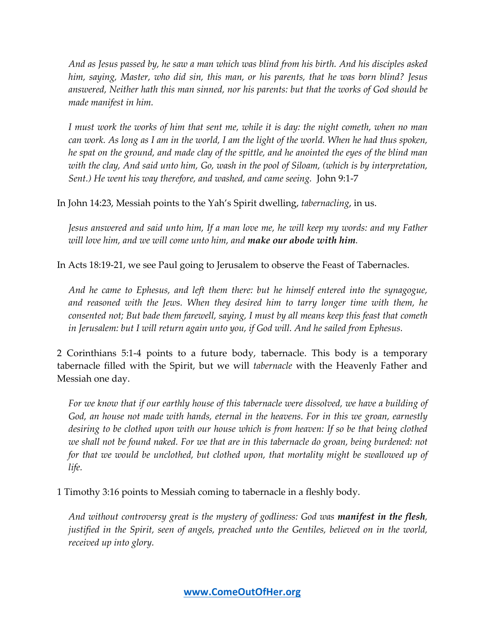*And as Jesus passed by, he saw a man which was blind from his birth. And his disciples asked him, saying, Master, who did sin, this man, or his parents, that he was born blind? Jesus answered, Neither hath this man sinned, nor his parents: but that the works of God should be made manifest in him.*

*I must work the works of him that sent me, while it is day: the night cometh, when no man can work. As long as I am in the world, I am the light of the world. When he had thus spoken, he spat on the ground, and made clay of the spittle, and he anointed the eyes of the blind man with the clay, And said unto him, Go, wash in the pool of Siloam, (which is by interpretation, Sent.) He went his way therefore, and washed, and came seeing.* John 9:1-7

In John 14:23, Messiah points to the Yah's Spirit dwelling, *tabernacling*, in us.

*Jesus answered and said unto him, If a man love me, he will keep my words: and my Father will love him, and we will come unto him, and make our abode with him.*

In Acts 18:19-21, we see Paul going to Jerusalem to observe the Feast of Tabernacles.

*And he came to Ephesus, and left them there: but he himself entered into the synagogue, and reasoned with the Jews. When they desired him to tarry longer time with them, he consented not; But bade them farewell, saying, I must by all means keep this feast that cometh in Jerusalem: but I will return again unto you, if God will. And he sailed from Ephesus.*

2 Corinthians 5:1-4 points to a future body, tabernacle. This body is a temporary tabernacle filled with the Spirit, but we will *tabernacle* with the Heavenly Father and Messiah one day.

*For we know that if our earthly house of this tabernacle were dissolved, we have a building of God, an house not made with hands, eternal in the heavens. For in this we groan, earnestly*  desiring to be clothed upon with our house which is from heaven: If so be that being clothed *we shall not be found naked. For we that are in this tabernacle do groan, being burdened: not for that we would be unclothed, but clothed upon, that mortality might be swallowed up of life.*

1 Timothy 3:16 points to Messiah coming to tabernacle in a fleshly body.

*And without controversy great is the mystery of godliness: God was manifest in the flesh, justified in the Spirit, seen of angels, preached unto the Gentiles, believed on in the world, received up into glory.*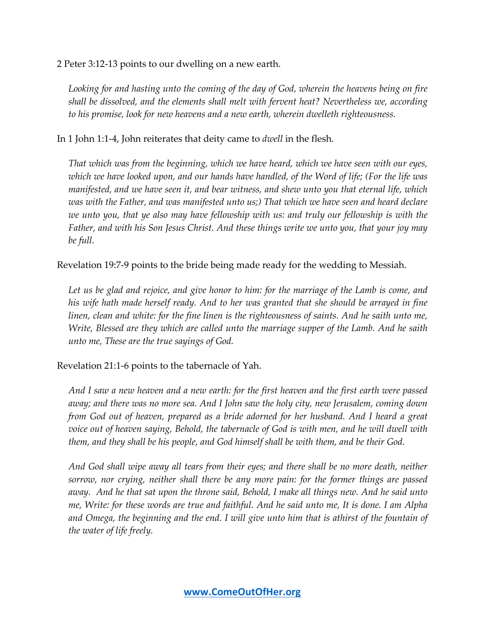2 Peter 3:12-13 points to our dwelling on a new earth.

*Looking for and hasting unto the coming of the day of God, wherein the heavens being on fire shall be dissolved, and the elements shall melt with fervent heat? Nevertheless we, according to his promise, look for new heavens and a new earth, wherein dwelleth righteousness.*

In 1 John 1:1-4, John reiterates that deity came to *dwell* in the flesh.

*That which was from the beginning, which we have heard, which we have seen with our eyes, which we have looked upon, and our hands have handled, of the Word of life; (For the life was manifested, and we have seen it, and bear witness, and shew unto you that eternal life, which was with the Father, and was manifested unto us;) That which we have seen and heard declare we unto you, that ye also may have fellowship with us: and truly our fellowship is with the Father, and with his Son Jesus Christ. And these things write we unto you, that your joy may be full.*

Revelation 19:7-9 points to the bride being made ready for the wedding to Messiah.

Let us be glad and rejoice, and give honor to him: for the marriage of the Lamb is come, and *his wife hath made herself ready. And to her was granted that she should be arrayed in fine linen, clean and white: for the fine linen is the righteousness of saints. And he saith unto me, Write, Blessed are they which are called unto the marriage supper of the Lamb. And he saith unto me, These are the true sayings of God.*

Revelation 21:1-6 points to the tabernacle of Yah.

*And I saw a new heaven and a new earth: for the first heaven and the first earth were passed away; and there was no more sea. And I John saw the holy city, new Jerusalem, coming down from God out of heaven, prepared as a bride adorned for her husband. And I heard a great voice out of heaven saying, Behold, the tabernacle of God is with men, and he will dwell with them, and they shall be his people, and God himself shall be with them, and be their God.*

*And God shall wipe away all tears from their eyes; and there shall be no more death, neither sorrow, nor crying, neither shall there be any more pain: for the former things are passed away. And he that sat upon the throne said, Behold, I make all things new. And he said unto me, Write: for these words are true and faithful. And he said unto me, It is done. I am Alpha*  and Omega, the beginning and the end. I will give unto him that is athirst of the fountain of *the water of life freely.*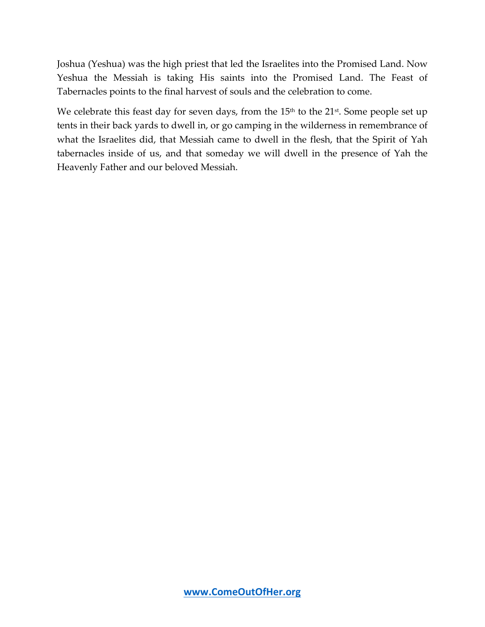Joshua (Yeshua) was the high priest that led the Israelites into the Promised Land. Now Yeshua the Messiah is taking His saints into the Promised Land. The Feast of Tabernacles points to the final harvest of souls and the celebration to come.

We celebrate this feast day for seven days, from the  $15<sup>th</sup>$  to the  $21<sup>st</sup>$ . Some people set up tents in their back yards to dwell in, or go camping in the wilderness in remembrance of what the Israelites did, that Messiah came to dwell in the flesh, that the Spirit of Yah tabernacles inside of us, and that someday we will dwell in the presence of Yah the Heavenly Father and our beloved Messiah.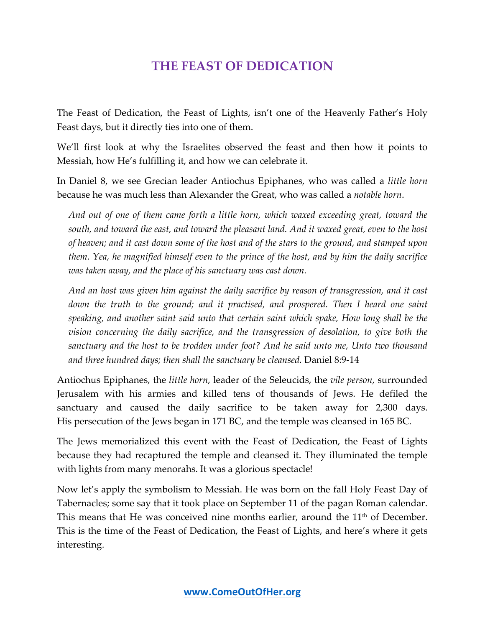# **THE FEAST OF DEDICATION**

The Feast of Dedication, the Feast of Lights, isn't one of the Heavenly Father's Holy Feast days, but it directly ties into one of them.

We'll first look at why the Israelites observed the feast and then how it points to Messiah, how He's fulfilling it, and how we can celebrate it.

In Daniel 8, we see Grecian leader Antiochus Epiphanes, who was called a *little horn* because he was much less than Alexander the Great, who was called a *notable horn*.

*And out of one of them came forth a little horn, which waxed exceeding great, toward the south, and toward the east, and toward the pleasant land. And it waxed great, even to the host of heaven; and it cast down some of the host and of the stars to the ground, and stamped upon them. Yea, he magnified himself even to the prince of the host, and by him the daily sacrifice was taken away, and the place of his sanctuary was cast down.*

*And an host was given him against the daily sacrifice by reason of transgression, and it cast down the truth to the ground; and it practised, and prospered. Then I heard one saint speaking, and another saint said unto that certain saint which spake, How long shall be the vision concerning the daily sacrifice, and the transgression of desolation, to give both the sanctuary and the host to be trodden under foot? And he said unto me, Unto two thousand and three hundred days; then shall the sanctuary be cleansed.* Daniel 8:9-14

Antiochus Epiphanes, the *little horn*, leader of the Seleucids, the *vile person*, surrounded Jerusalem with his armies and killed tens of thousands of Jews. He defiled the sanctuary and caused the daily sacrifice to be taken away for 2,300 days. His persecution of the Jews began in 171 BC, and the temple was cleansed in 165 BC.

The Jews memorialized this event with the Feast of Dedication, the Feast of Lights because they had recaptured the temple and cleansed it. They illuminated the temple with lights from many menorahs. It was a glorious spectacle!

Now let's apply the symbolism to Messiah. He was born on the fall Holy Feast Day of Tabernacles; some say that it took place on September 11 of the pagan Roman calendar. This means that He was conceived nine months earlier, around the  $11<sup>th</sup>$  of December. This is the time of the Feast of Dedication, the Feast of Lights, and here's where it gets interesting.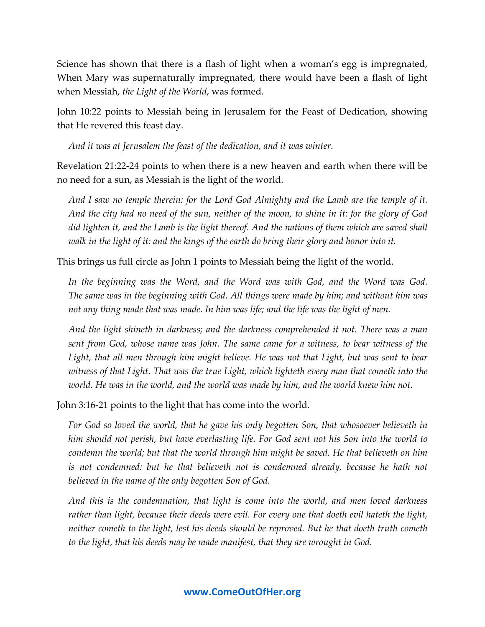Science has shown that there is a flash of light when a woman's egg is impregnated, When Mary was supernaturally impregnated, there would have been a flash of light when Messiah, *the Light of the World*, was formed.

John 10:22 points to Messiah being in Jerusalem for the Feast of Dedication, showing that He revered this feast day.

*And it was at Jerusalem the feast of the dedication, and it was winter.*

Revelation 21:22-24 points to when there is a new heaven and earth when there will be no need for a sun, as Messiah is the light of the world.

*And I saw no temple therein: for the Lord God Almighty and the Lamb are the temple of it. And the city had no need of the sun, neither of the moon, to shine in it: for the glory of God did lighten it, and the Lamb is the light thereof. And the nations of them which are saved shall walk in the light of it: and the kings of the earth do bring their glory and honor into it.*

This brings us full circle as John 1 points to Messiah being the light of the world.

In the beginning was the Word, and the Word was with God, and the Word was God. *The same was in the beginning with God. All things were made by him; and without him was not any thing made that was made. In him was life; and the life was the light of men.*

*And the light shineth in darkness; and the darkness comprehended it not. There was a man sent from God, whose name was John. The same came for a witness, to bear witness of the*  Light, that all men through him might believe. He was not that Light, but was sent to bear *witness of that Light. That was the true Light, which lighteth every man that cometh into the world. He was in the world, and the world was made by him, and the world knew him not.*

John 3:16-21 points to the light that has come into the world.

*For God so loved the world, that he gave his only begotten Son, that whosoever believeth in him should not perish, but have everlasting life. For God sent not his Son into the world to condemn the world; but that the world through him might be saved. He that believeth on him*  is not condemned: but he that believeth not is condemned already, because he hath not *believed in the name of the only begotten Son of God.*

*And this is the condemnation, that light is come into the world, and men loved darkness rather than light, because their deeds were evil. For every one that doeth evil hateth the light, neither cometh to the light, lest his deeds should be reproved. But he that doeth truth cometh to the light, that his deeds may be made manifest, that they are wrought in God.*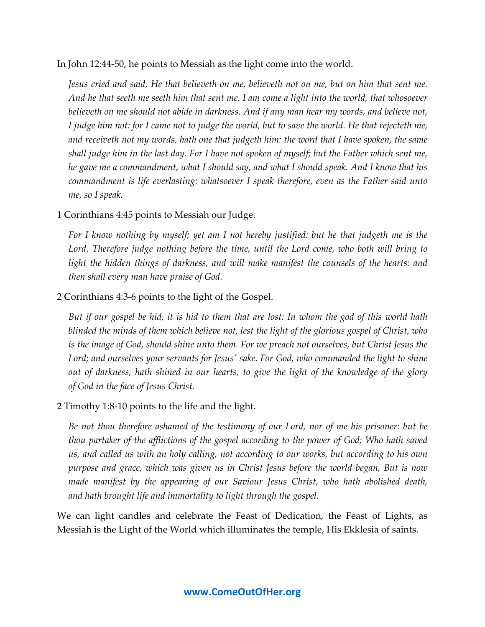In John 12:44-50, he points to Messiah as the light come into the world.

*Jesus cried and said, He that believeth on me, believeth not on me, but on him that sent me. And he that seeth me seeth him that sent me. I am come a light into the world, that whosoever believeth on me should not abide in darkness. And if any man hear my words, and believe not, I judge him not: for I came not to judge the world, but to save the world. He that rejecteth me, and receiveth not my words, hath one that judgeth him: the word that I have spoken, the same shall judge him in the last day. For I have not spoken of myself; but the Father which sent me, he gave me a commandment, what I should say, and what I should speak. And I know that his commandment is life everlasting: whatsoever I speak therefore, even as the Father said unto me, so I speak.* 

#### 1 Corinthians 4:45 points to Messiah our Judge.

*For I know nothing by myself; yet am I not hereby justified: but he that judgeth me is the*  Lord. Therefore judge nothing before the time, until the Lord come, who both will bring to *light the hidden things of darkness, and will make manifest the counsels of the hearts: and then shall every man have praise of God.*

#### 2 Corinthians 4:3-6 points to the light of the Gospel.

*But if our gospel be hid, it is hid to them that are lost: In whom the god of this world hath blinded the minds of them which believe not, lest the light of the glorious gospel of Christ, who is the image of God, should shine unto them. For we preach not ourselves, but Christ Jesus the Lord; and ourselves your servants for Jesus' sake. For God, who commanded the light to shine out of darkness, hath shined in our hearts, to give the light of the knowledge of the glory of God in the face of Jesus Christ.*

#### 2 Timothy 1:8-10 points to the life and the light.

*Be not thou therefore ashamed of the testimony of our Lord, nor of me his prisoner: but be thou partaker of the afflictions of the gospel according to the power of God; Who hath saved us, and called us with an holy calling, not according to our works, but according to his own purpose and grace, which was given us in Christ Jesus before the world began, But is now made manifest by the appearing of our Saviour Jesus Christ, who hath abolished death, and hath brought life and immortality to light through the gospel.*

We can light candles and celebrate the Feast of Dedication, the Feast of Lights, as Messiah is the Light of the World which illuminates the temple, His Ekklesia of saints.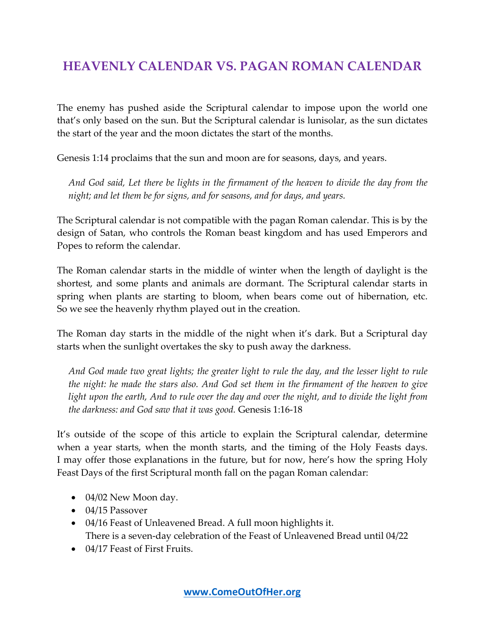# **HEAVENLY CALENDAR VS. PAGAN ROMAN CALENDAR**

The enemy has pushed aside the Scriptural calendar to impose upon the world one that's only based on the sun. But the Scriptural calendar is lunisolar, as the sun dictates the start of the year and the moon dictates the start of the months.

Genesis 1:14 proclaims that the sun and moon are for seasons, days, and years.

*And God said, Let there be lights in the firmament of the heaven to divide the day from the night; and let them be for signs, and for seasons, and for days, and years.*

The Scriptural calendar is not compatible with the pagan Roman calendar. This is by the design of Satan, who controls the Roman beast kingdom and has used Emperors and Popes to reform the calendar.

The Roman calendar starts in the middle of winter when the length of daylight is the shortest, and some plants and animals are dormant. The Scriptural calendar starts in spring when plants are starting to bloom, when bears come out of hibernation, etc. So we see the heavenly rhythm played out in the creation.

The Roman day starts in the middle of the night when it's dark. But a Scriptural day starts when the sunlight overtakes the sky to push away the darkness.

*And God made two great lights; the greater light to rule the day, and the lesser light to rule the night: he made the stars also. And God set them in the firmament of the heaven to give light upon the earth, And to rule over the day and over the night, and to divide the light from the darkness: and God saw that it was good.* Genesis 1:16-18

It's outside of the scope of this article to explain the Scriptural calendar, determine when a year starts, when the month starts, and the timing of the Holy Feasts days. I may offer those explanations in the future, but for now, here's how the spring Holy Feast Days of the first Scriptural month fall on the pagan Roman calendar:

- 04/02 New Moon day.
- 04/15 Passover
- 04/16 Feast of Unleavened Bread. A full moon highlights it. There is a seven-day celebration of the Feast of Unleavened Bread until 04/22
- 04/17 Feast of First Fruits.